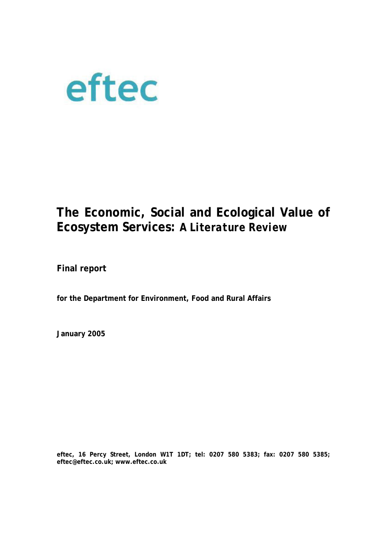

# **The Economic, Social and Ecological Value of Ecosystem Services:** *A Literature Review*

**Final report** 

**for the Department for Environment, Food and Rural Affairs** 

**January 2005** 

**eftec, 16 Percy Street, London W1T 1DT; tel: 0207 580 5383; fax: 0207 580 5385; eftec@eftec.co.uk; www.eftec.co.uk**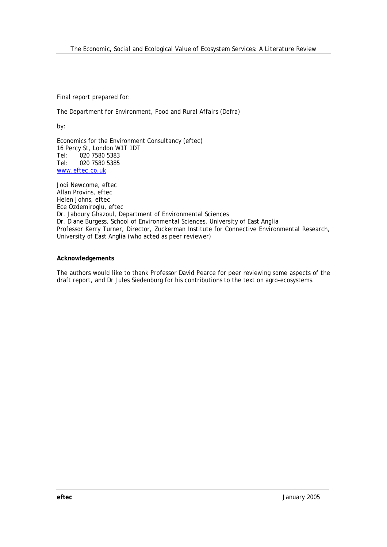Final report prepared for:

The Department for Environment, Food and Rural Affairs (Defra)

by:

Economics for the Environment Consultancy (eftec) 16 Percy St, London W1T 1DT Tel: 020 7580 5383 Tel: 020 7580 5385 www.eftec.co.uk

Jodi Newcome, eftec Allan Provins, eftec Helen Johns, eftec Ece Ozdemiroglu, eftec Dr. Jaboury Ghazoul, Department of Environmental Sciences Dr. Diane Burgess, School of Environmental Sciences, University of East Anglia Professor Kerry Turner, Director, Zuckerman Institute for Connective Environmental Research, University of East Anglia (who acted as peer reviewer)

#### **Acknowledgements**

The authors would like to thank Professor David Pearce for peer reviewing some aspects of the draft report, and Dr Jules Siedenburg for his contributions to the text on agro-ecosystems.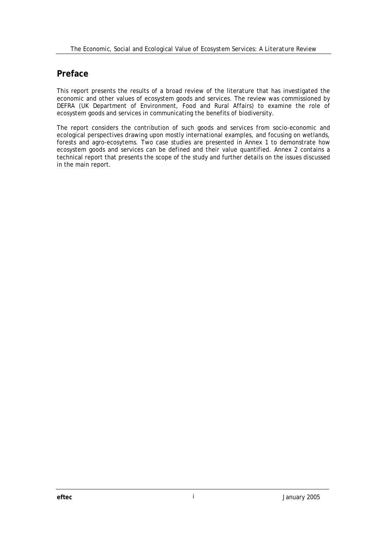# **Preface**

This report presents the results of a broad review of the literature that has investigated the economic and other values of ecosystem goods and services. The review was commissioned by DEFRA (UK Department of Environment, Food and Rural Affairs) to examine the role of ecosystem goods and services in communicating the benefits of biodiversity.

The report considers the contribution of such goods and services from socio-economic and ecological perspectives drawing upon mostly international examples, and focusing on wetlands, forests and agro-ecosytems. Two case studies are presented in Annex 1 to demonstrate how ecosystem goods and services can be defined and their value quantified. Annex 2 contains a technical report that presents the scope of the study and further details on the issues discussed in the main report.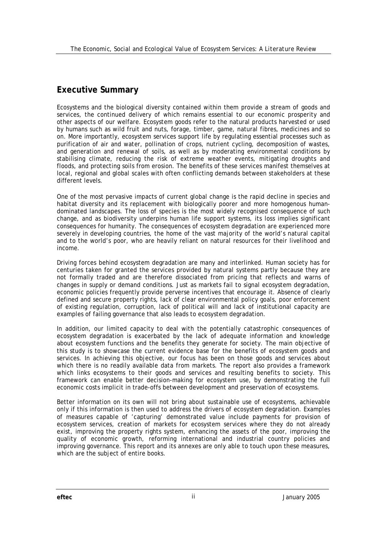# **Executive Summary**

Ecosystems and the biological diversity contained within them provide a stream of goods and services, the continued delivery of which remains essential to our economic prosperity and other aspects of our welfare. *Ecosystem goods* refer to the natural products harvested or used by humans such as wild fruit and nuts, forage, timber, game, natural fibres, medicines and so on. More importantly, *ecosystem services* support life by regulating essential processes such as purification of air and water, pollination of crops, nutrient cycling, decomposition of wastes, and generation and renewal of soils, as well as by moderating environmental conditions by stabilising climate, reducing the risk of extreme weather events, mitigating droughts and floods, and protecting soils from erosion. The benefits of these services manifest themselves at local, regional and global scales with often conflicting demands between stakeholders at these different levels.

One of the most pervasive impacts of current global change is the rapid decline in species and habitat diversity and its replacement with biologically poorer and more homogenous humandominated landscapes. The loss of species is the most widely recognised consequence of such change, and as biodiversity underpins human life support systems, its loss implies significant consequences for humanity. The consequences of ecosystem degradation are experienced more severely in developing countries, the home of the vast majority of the world's natural capital and to the world's poor, who are heavily reliant on natural resources for their livelihood and income.

Driving forces behind ecosystem degradation are many and interlinked. Human society has for centuries taken for granted the services provided by natural systems partly because they are not formally traded and are therefore dissociated from pricing that reflects and warns of changes in supply or demand conditions. Just as markets fail to signal ecosystem degradation, economic policies frequently provide perverse incentives that encourage it. Absence of clearly defined and secure property rights, lack of clear environmental policy goals, poor enforcement of existing regulation, corruption, lack of political will and lack of institutional capacity are examples of failing governance that also leads to ecosystem degradation.

In addition, our limited capacity to deal with the potentially catastrophic consequences of ecosystem degradation is exacerbated by the lack of adequate information and knowledge about ecosystem functions and the benefits they generate for society. The main objective of this study is to showcase the current evidence base for the benefits of ecosystem goods and services. In achieving this objective, our focus has been on those goods and services about which there is no readily available data from markets. The report also provides a framework which links ecosystems to their goods and services and resulting benefits to society. This framework can enable better decision-making for ecosystem use, by demonstrating the full economic costs implicit in trade-offs between development and preservation of ecosystems.

Better information on its own will not bring about sustainable use of ecosystems, achievable only if this information is then used to address the drivers of ecosystem degradation. Examples of measures capable of 'capturing' demonstrated value include payments for provision of ecosystem services, creation of markets for ecosystem services where they do not already exist, improving the property rights system, enhancing the assets of the poor, improving the quality of economic growth, reforming international and industrial country policies and improving governance. This report and its annexes are only able to touch upon these measures, which are the subject of entire books.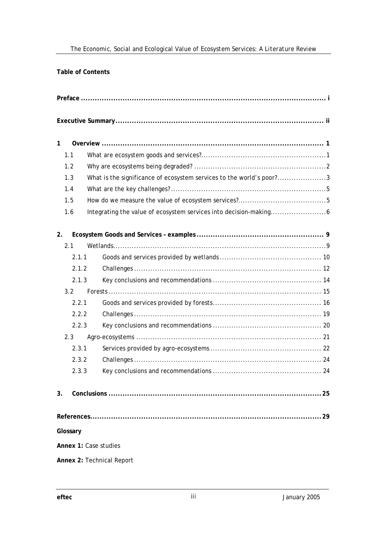**Table of Contents** 

| $\mathbf{1}$   |                                                                      |
|----------------|----------------------------------------------------------------------|
| 1.1            |                                                                      |
| 1.2            |                                                                      |
| 1.3            | What is the significance of ecosystem services to the world's poor?3 |
| 1.4            |                                                                      |
| 1.5            |                                                                      |
| 1.6            |                                                                      |
| 2.             |                                                                      |
| 2.1            |                                                                      |
| 2.1.1          |                                                                      |
| 2.1.2          |                                                                      |
| 2.1.3          |                                                                      |
| 3.2            |                                                                      |
| 2.2.1          |                                                                      |
| 2.2.2          |                                                                      |
| 2.2.3          |                                                                      |
| 2.3            |                                                                      |
| 2.3.1          |                                                                      |
| 2.3.2          |                                                                      |
| 2.3.3          |                                                                      |
| 3 <sub>1</sub> | 25                                                                   |
|                | 29                                                                   |
| Glossary       |                                                                      |
|                | Annex 1: Case studies                                                |
|                | Annex 2: Technical Report                                            |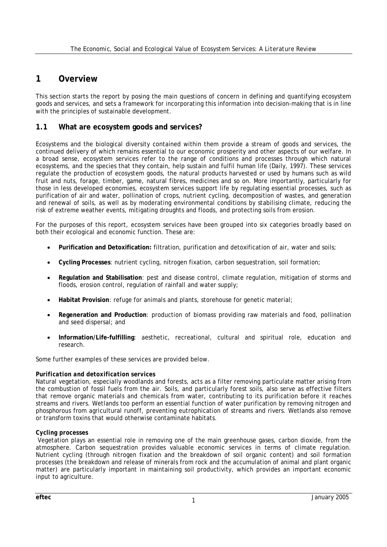# **1 Overview**

This section starts the report by posing the main questions of concern in defining and quantifying ecosystem goods and services, and sets a framework for incorporating this information into decision-making that is in line with the principles of sustainable development.

### **1.1 What are ecosystem goods and services?**

Ecosystems and the biological diversity contained within them provide a stream of goods and services, the continued delivery of which remains essential to our economic prosperity and other aspects of our welfare. In a broad sense, ecosystem services refer to the range of conditions and processes through which natural ecosystems, and the species that they contain, help sustain and fulfil human life (Daily, 1997). These services regulate the production of *ecosystem goods*, the natural products harvested or used by humans such as wild fruit and nuts, forage, timber, game, natural fibres, medicines and so on. More importantly, particularly for those in less developed economies, *ecosystem services* support life by regulating essential processes, such as purification of air and water, pollination of crops, nutrient cycling, decomposition of wastes, and generation and renewal of soils, as well as by moderating environmental conditions by stabilising climate, reducing the risk of extreme weather events, mitigating droughts and floods, and protecting soils from erosion.

For the purposes of this report, ecosystem services have been grouped into six categories broadly based on both their ecological and economic function. These are:

- **Purification and Detoxification:** filtration, purification and detoxification of air, water and soils;
- **Cycling Processes**: nutrient cycling, nitrogen fixation, carbon sequestration, soil formation;
- **Regulation and Stabilisation**: pest and disease control, climate regulation, mitigation of storms and floods, erosion control, regulation of rainfall and water supply;
- **Habitat Provision**: refuge for animals and plants, storehouse for genetic material;
- **Regeneration and Production**: production of biomass providing raw materials and food, pollination and seed dispersal; and
- **Information/Life-fulfilling**: aesthetic, recreational, cultural and spiritual role, education and research.

Some further examples of these services are provided below.

#### *Purification and detoxification services*

Natural vegetation, especially woodlands and forests, acts as a filter removing particulate matter arising from the combustion of fossil fuels from the air. Soils, and particularly forest soils, also serve as effective filters that remove organic materials and chemicals from water, contributing to its purification before it reaches streams and rivers. Wetlands too perform an essential function of water purification by removing nitrogen and phosphorous from agricultural runoff, preventing eutrophication of streams and rivers. Wetlands also remove or transform toxins that would otherwise contaminate habitats.

#### *Cycling processes*

 Vegetation plays an essential role in removing one of the main greenhouse gases, carbon dioxide, from the atmosphere. Carbon sequestration provides valuable economic services in terms of climate regulation. Nutrient cycling (through nitrogen fixation and the breakdown of soil organic content) and soil formation processes (the breakdown and release of minerals from rock and the accumulation of animal and plant organic matter) are particularly important in maintaining soil productivity, which provides an important economic input to agriculture.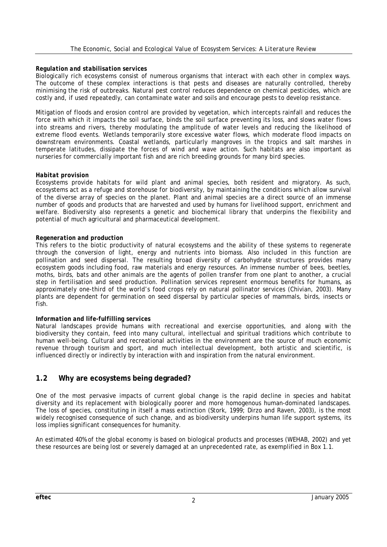#### *Regulation and stabilisation services*

Biologically rich ecosystems consist of numerous organisms that interact with each other in complex ways. The outcome of these complex interactions is that pests and diseases are naturally controlled, thereby minimising the risk of outbreaks. Natural pest control reduces dependence on chemical pesticides, which are costly and, if used repeatedly, can contaminate water and soils and encourage pests to develop resistance.

Mitigation of floods and erosion control are provided by vegetation, which intercepts rainfall and reduces the force with which it impacts the soil surface, binds the soil surface preventing its loss, and slows water flows into streams and rivers, thereby modulating the amplitude of water levels and reducing the likelihood of extreme flood events. Wetlands temporarily store excessive water flows, which moderate flood impacts on downstream environments. Coastal wetlands, particularly mangroves in the tropics and salt marshes in temperate latitudes, dissipate the forces of wind and wave action. Such habitats are also important as nurseries for commercially important fish and are rich breeding grounds for many bird species.

#### *Habitat provision*

Ecosystems provide habitats for wild plant and animal species, both resident and migratory. As such, ecosystems act as a refuge and storehouse for biodiversity, by maintaining the conditions which allow survival of the diverse array of species on the planet. Plant and animal species are a direct source of an immense number of goods and products that are harvested and used by humans for livelihood support, enrichment and welfare. Biodiversity also represents a genetic and biochemical library that underpins the flexibility and potential of much agricultural and pharmaceutical development.

#### *Regeneration and production*

This refers to the biotic productivity of natural ecosystems and the ability of these systems to regenerate through the conversion of light, energy and nutrients into biomass. Also included in this function are pollination and seed dispersal. The resulting broad diversity of carbohydrate structures provides many ecosystem goods including food, raw materials and energy resources. An immense number of bees, beetles, moths, birds, bats and other animals are the agents of pollen transfer from one plant to another, a crucial step in fertilisation and seed production. Pollination services represent enormous benefits for humans, as approximately one-third of the world's food crops rely on natural pollinator services (Chivian, 2003). Many plants are dependent for germination on seed dispersal by particular species of mammals, birds, insects or fish.

#### *Information and life-fulfilling services*

Natural landscapes provide humans with recreational and exercise opportunities, and along with the biodiversity they contain, feed into many cultural, intellectual and spiritual traditions which contribute to human well-being. Cultural and recreational activities in the environment are the source of much economic revenue through tourism and sport, and much intellectual development, both artistic and scientific, is influenced directly or indirectly by interaction with and inspiration from the natural environment.

### **1.2 Why are ecosystems being degraded?**

One of the most pervasive impacts of current global change is the rapid decline in species and habitat diversity and its replacement with biologically poorer and more homogenous human-dominated landscapes. The loss of species, constituting in itself a mass extinction (Stork, 1999; Dirzo and Raven, 2003), is the most widely recognised consequence of such change, and as biodiversity underpins human life support systems, its loss implies significant consequences for humanity.

An estimated 40% of the global economy is based on biological products and processes (WEHAB, 2002) and yet these resources are being lost or severely damaged at an unprecedented rate, as exemplified in Box 1.1.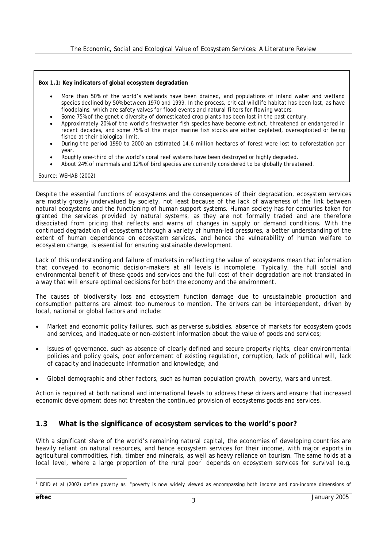#### **Box 1.1: Key indicators of global ecosystem degradation**

- More than 50% of the world's wetlands have been drained, and populations of inland water and wetland species declined by 50% between 1970 and 1999. In the process, critical wildlife habitat has been lost, as have floodplains, which are safety valves for flood events and natural filters for flowing waters.
- Some 75% of the genetic diversity of domesticated crop plants has been lost in the past century.
- Approximately 20% of the world's freshwater fish species have become extinct, threatened or endangered in recent decades, and some 75% of the major marine fish stocks are either depleted, overexploited or being fished at their biological limit.
- During the period 1990 to 2000 an estimated 14.6 million hectares of forest were lost to deforestation per year.
- Roughly one-third of the world's coral reef systems have been destroyed or highly degraded.
- About 24% of mammals and 12% of bird species are currently considered to be globally threatened.

#### *Source: WEHAB (2002)*

Despite the essential functions of ecosystems and the consequences of their degradation, ecosystem services are mostly grossly undervalued by society, not least because of the lack of awareness of the link between natural ecosystems and the functioning of human support systems. Human society has for centuries taken for granted the services provided by natural systems, as they are not formally traded and are therefore dissociated from pricing that reflects and warns of changes in supply or demand conditions. With the continued degradation of ecosystems through a variety of human-led pressures, a better understanding of the extent of human dependence on ecosystem services, and hence the vulnerability of human welfare to ecosystem change, is essential for ensuring sustainable development.

Lack of this understanding and failure of markets in reflecting the value of ecosystems mean that information that conveyed to economic decision-makers at all levels is incomplete. Typically, the full social and environmental benefit of these goods and services and the full cost of their degradation are not translated in a way that will ensure optimal decisions for both the economy and the environment.

The causes of biodiversity loss and ecosystem function damage due to unsustainable production and consumption patterns are almost too numerous to mention. The drivers can be interdependent, driven by local, national or global factors and include:

- *Market and economic policy failures*, such as perverse subsidies, absence of markets for ecosystem goods and services, and inadequate or non-existent information about the value of goods and services;
- *Issues of governance*, such as absence of clearly defined and secure property rights, clear environmental policies and policy goals, poor enforcement of existing regulation, corruption, lack of political will, lack of capacity and inadequate information and knowledge; and
- *Global demographic and other factors*, such as human population growth, poverty, wars and unrest.

Action is required at both national and international levels to address these drivers and ensure that increased economic development does not threaten the continued provision of ecosystems goods and services.

### **1.3 What is the significance of ecosystem services to the world's poor?**

With a significant share of the world's remaining natural capital, the economies of developing countries are heavily reliant on natural resources, and hence ecosystem services for their income, with major exports in agricultural commodities, fish, timber and minerals, as well as heavy reliance on tourism. The same holds at a local level, where a large proportion of the rural poor<sup>1</sup> depends on ecosystem services for survival (e.g.

 1 DFID et al (2002) define poverty as: "poverty is now widely viewed as encompassing both income and non-income dimensions of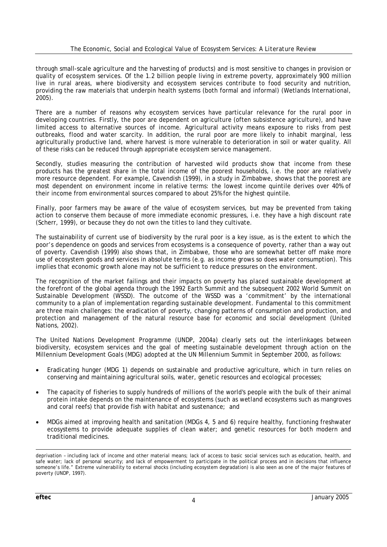through small-scale agriculture and the harvesting of products) and is most sensitive to changes in provision or quality of ecosystem services. Of the 1.2 billion people living in extreme poverty, approximately 900 million live in rural areas, where biodiversity and ecosystem services contribute to food security and nutrition, providing the raw materials that underpin health systems (both formal and informal) (Wetlands International, 2005).

There are a number of reasons why ecosystem services have particular relevance for the rural poor in developing countries. Firstly, the poor are dependent on agriculture (often subsistence agriculture), and have limited access to alternative sources of income. Agricultural activity means exposure to risks from pest outbreaks, flood and water scarcity. In addition, the rural poor are more likely to inhabit marginal, less agriculturally productive land, where harvest is more vulnerable to deterioration in soil or water quality. All of these risks can be reduced through appropriate ecosystem service management.

Secondly, studies measuring the contribution of harvested wild products show that income from these products has the greatest share in the total income of the poorest households, i.e. the poor are relatively more resource dependent. For example, Cavendish (1999), in a study in Zimbabwe, shows that the poorest are most dependent on environment income in relative terms: the lowest income quintile derives over 40% of their income from environmental sources compared to about 25% for the highest quintile.

Finally, poor farmers may be aware of the value of ecosystem services, but may be prevented from taking action to conserve them because of more immediate economic pressures, i.e. they have a high discount rate (Scherr, 1999), or because they do not own the titles to land they cultivate.

The sustainability of current use of biodiversity by the rural poor is a key issue, as is the extent to which the poor's dependence on goods and services from ecosystems is a consequence of poverty, rather than a way out of poverty. Cavendish (1999) also shows that, in Zimbabwe, those who are somewhat better off make more use of ecosystem goods and services in absolute terms (e.g. as income grows so does water consumption). This implies that economic growth alone may not be sufficient to reduce pressures on the environment.

The recognition of the market failings and their impacts on poverty has placed sustainable development at the forefront of the global agenda through the 1992 Earth Summit and the subsequent 2002 World Summit on Sustainable Development (WSSD). The outcome of the WSSD was a 'commitment' by the international community to a plan of implementation regarding sustainable development. Fundamental to this commitment are three main challenges: the eradication of poverty, changing patterns of consumption and production, and protection and management of the natural resource base for economic and social development (United Nations, 2002).

The United Nations Development Programme (UNDP, 2004a) clearly sets out the interlinkages between biodiversity, ecosystem services and the goal of meeting sustainable development through action on the Millennium Development Goals (MDG) adopted at the UN Millennium Summit in September 2000, as follows:

- Eradicating hunger (MDG 1) depends on sustainable and productive agriculture, which in turn relies on conserving and maintaining agricultural soils, water, genetic resources and ecological processes;
- The capacity of fisheries to supply hundreds of millions of the world's people with the bulk of their animal protein intake depends on the maintenance of ecosystems (such as wetland ecosystems such as mangroves and coral reefs) that provide fish with habitat and sustenance; and
- MDGs aimed at improving health and sanitation (MDGs 4, 5 and 6) require healthy, functioning freshwater ecosystems to provide adequate supplies of clean water; and genetic resources for both modern and traditional medicines.

l deprivation – including lack of income and other material means; lack of access to basic social services such as education, health, and safe water; lack of personal security; and lack of empowerment to participate in the political process and in decisions that influence someone's life." Extreme vulnerability to external shocks (including ecosystem degradation) is also seen as one of the major features of poverty (UNDP, 1997).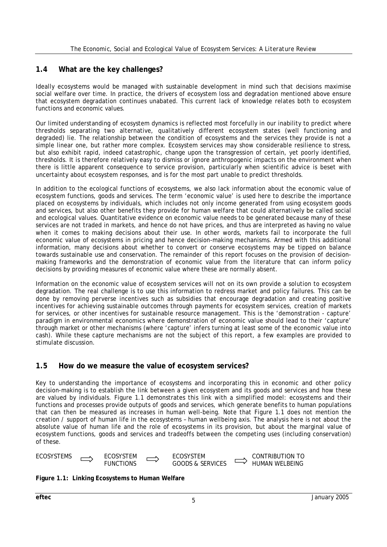### **1.4 What are the key challenges?**

Ideally ecosystems would be managed with sustainable development in mind such that decisions maximise social welfare over time. In practice, the drivers of ecosystem loss and degradation mentioned above ensure that ecosystem degradation continues unabated. This current lack of knowledge relates both to ecosystem functions and economic values.

Our limited understanding of ecosystem dynamics is reflected most forcefully in our inability to predict where thresholds separating two alternative, qualitatively different ecosystem states (well functioning and degraded) lie. The relationship between the condition of ecosystems and the services they provide is not a simple linear one, but rather more complex. Ecosystem services may show considerable resilience to stress, but also exhibit rapid, indeed catastrophic, change upon the transgression of certain, yet poorly identified, thresholds. It is therefore relatively easy to dismiss or ignore anthropogenic impacts on the environment when there is little apparent consequence to service provision, particularly when scientific advice is beset with uncertainty about ecosystem responses, and is for the most part unable to predict thresholds.

In addition to the ecological functions of ecosystems, we also lack information about the economic value of ecosystem functions, goods and services. The term 'economic value' is used here to describe the importance placed on ecosystems by individuals, which includes not only income generated from using ecosystem goods and services, but also other benefits they provide for human welfare that could alternatively be called social and ecological values. Quantitative evidence on economic value needs to be generated because many of these services are not traded in markets, and hence do not have prices, and thus are interpreted as having no value when it comes to making decisions about their use. In other words, markets fail to incorporate the full economic value of ecosystems in pricing and hence decision-making mechanisms. Armed with this additional information, many decisions about whether to convert or conserve ecosystems may be tipped on balance towards sustainable use and conservation. The remainder of this report focuses on the provision of decisionmaking frameworks and the demonstration of economic value from the literature that can inform policy decisions by providing measures of economic value where these are normally absent.

Information on the economic value of ecosystem services will not on its own provide a solution to ecosystem degradation. The real challenge is to use this information to redress market and policy failures. This can be done by removing perverse incentives such as subsidies that encourage degradation and creating positive incentives for achieving sustainable outcomes through payments for ecosystem services, creation of markets for services, or other incentives for sustainable resource management. This is the 'demonstration - capture' paradigm in environmental economics where demonstration of economic value should lead to their 'capture' through market or other mechanisms (where 'capture' infers turning at least some of the economic value into cash). While these capture mechanisms are not the subject of this report, a few examples are provided to stimulate discussion.

### **1.5 How do we measure the value of ecosystem services?**

Key to understanding the importance of ecosystems and incorporating this in economic and other policy decision-making is to establish the link between a given ecosystem and its goods and services and how these are valued by individuals. Figure 1.1 demonstrates this link with a simplified model: ecosystems and their functions and processes provide outputs of goods and services, which generate benefits to human populations that can then be measured as increases in human well-being. Note that Figure 1.1 does not mention the creation / support of human life in the ecosystems – human wellbeing axis. The analysis here is not about the absolute value of human life and the role of ecosystems in its provision, but about the marginal value of ecosystem functions, goods and services and tradeoffs between the competing uses (including conservation) of these.

| <b>ECOSYSTEMS</b> | ECOSYSTEM | ECOSYSTEM                   | CONTRIBUTION TO |
|-------------------|-----------|-----------------------------|-----------------|
|                   | UNCTIONS  | <b>GOODS &amp; SERVICES</b> | HUMAN WELBEING  |

**Figure 1.1: Linking Ecosystems to Human Welfare**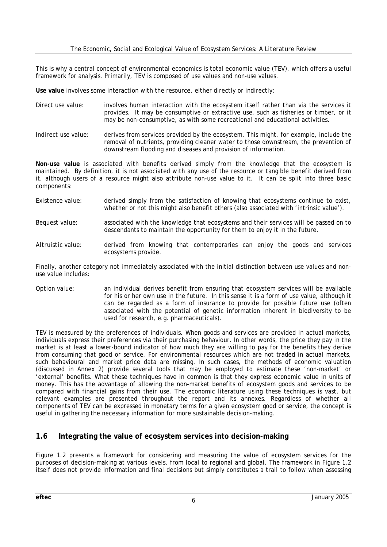This is why a central concept of environmental economics is total economic value (TEV), which offers a useful framework for analysis. Primarily, TEV is composed of use values and non-use values.

Use value involves some interaction with the resource, either directly or indirectly:

- *Direct use value:* involves human interaction with the ecosystem itself rather than via the services it provides. It may be consumptive or extractive use, such as fisheries or timber, or it may be non-consumptive, as with some recreational and educational activities.
- *Indirect use value*: derives from services provided by the ecosystem. This might, for example, include the removal of nutrients, providing cleaner water to those downstream, the prevention of downstream flooding and diseases and provision of information.

**Non-use value** is associated with benefits derived simply from the knowledge that the ecosystem is maintained. By definition, it is not associated with any use of the resource or tangible benefit derived from it, although users of a resource might also attribute non-use value to it. It can be split into three basic components:

- *Existence value*: derived simply from the satisfaction of knowing that ecosystems continue to exist, whether or not this might also benefit others (also associated with 'intrinsic value').
- *Bequest value*: associated with the knowledge that ecosystems and their services will be passed on to descendants to maintain the opportunity for them to enjoy it in the future.
- *Altruistic value:* derived from knowing that contemporaries can enjoy the goods and services ecosystems provide.

Finally, another category not immediately associated with the initial distinction between use values and nonuse value includes:

*Option value:* an individual derives benefit from ensuring that ecosystem services will be available for his or her own *use in the future*. In this sense it is a form of use value, although it can be regarded as a form of insurance to provide for possible future use (often associated with the potential of genetic information inherent in biodiversity to be used for research, e.g. pharmaceuticals).

TEV is measured by the preferences of individuals. When goods and services are provided in actual markets, individuals express their preferences via their purchasing behaviour. In other words, the price they pay in the market is at least a lower-bound indicator of how much they are willing to pay for the benefits they derive from consuming that good or service. For environmental resources which are not traded in actual markets, such behavioural and market price data are missing. In such cases, the methods of economic valuation (discussed in Annex 2) provide several tools that may be employed to estimate these 'non-market' or 'external' benefits. What these techniques have in common is that they express economic value in units of money. This has the advantage of allowing the non-market benefits of ecosystem goods and services to be compared with financial gains from their use. The economic literature using these techniques is vast, but relevant examples are presented throughout the report and its annexes. Regardless of whether all components of TEV can be expressed in monetary terms for a given ecosystem good or service, the concept is useful in gathering the necessary information for more sustainable decision-making.

### **1.6 Integrating the value of ecosystem services into decision-making**

Figure 1.2 presents a framework for considering and measuring the value of ecosystem services for the purposes of decision-making at various levels, from local to regional and global. The framework in Figure 1.2 itself does not provide information and final decisions but simply constitutes a trail to follow when assessing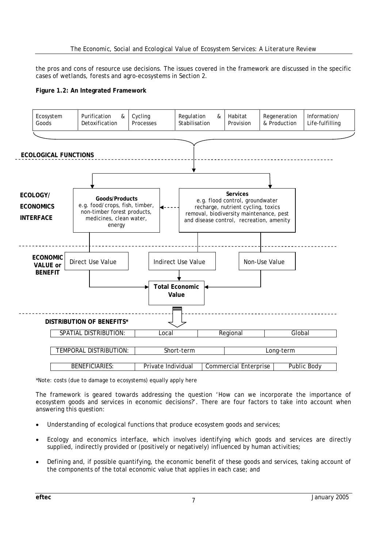the pros and cons of resource use decisions. The issues covered in the framework are discussed in the specific cases of wetlands, forests and agro-ecosystems in Section 2.





\*Note: costs (due to damage to ecosystems) equally apply here

The framework is geared towards addressing the question 'How can we incorporate the importance of ecosystem goods and services in economic decisions?'. There are four factors to take into account when answering this question:

- Understanding of ecological functions that produce ecosystem goods and services;
- Ecology and economics interface, which involves identifying which goods and services are directly supplied, indirectly provided or (positively or negatively) influenced by human activities;
- Defining and, if possible quantifying, the economic benefit of these goods and services, taking account of the components of the total economic value that applies in each case; and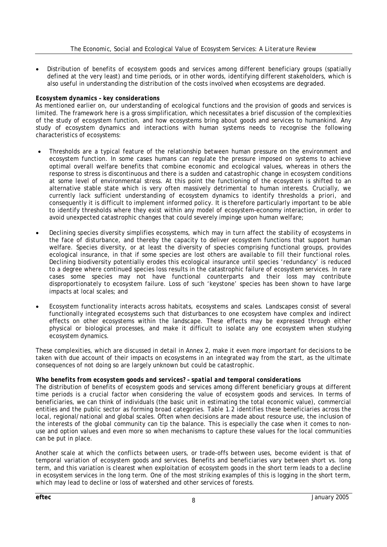• Distribution of benefits of ecosystem goods and services among different beneficiary groups (spatially defined at the very least) and time periods, or in other words, identifying different stakeholders, which is also useful in understanding the distribution of the costs involved when ecosystems are degraded.

#### *Ecosystem dynamics – key considerations*

As mentioned earlier on, our understanding of ecological functions and the provision of goods and services is limited. The framework here is a gross simplification, which necessitates a brief discussion of the complexities of the study of ecosystem function, and how ecosystems bring about goods and services to humankind. Any study of ecosystem dynamics and interactions with human systems needs to recognise the following characteristics of ecosystems:

- Thresholds are a typical feature of the relationship between human pressure on the environment and ecosystem function. In some cases humans can regulate the pressure imposed on systems to achieve optimal overall welfare benefits that combine economic and ecological values, whereas in others the response to stress is discontinuous and there is a sudden and catastrophic change in ecosystem conditions at some level of environmental stress. At this point the functioning of the ecosystem is shifted to an alternative stable state which is very often massively detrimental to human interests. Crucially, we currently lack sufficient understanding of ecosystem dynamics to identify thresholds *a priori*, and consequently it is difficult to implement informed policy. It is therefore particularly important to be able to identify thresholds where they exist within any model of ecosystem-economy interaction, in order to avoid unexpected catastrophic changes that could severely impinge upon human welfare;
- Declining species diversity simplifies ecosystems, which may in turn affect the stability of ecosystems in the face of disturbance, and thereby the capacity to deliver ecosystem functions that support human welfare. Species diversity, or at least the diversity of species comprising functional groups, provides ecological insurance, in that if some species are lost others are available to fill their functional roles. Declining biodiversity potentially erodes this ecological insurance until species 'redundancy' is reduced to a degree where continued species loss results in the catastrophic failure of ecosystem services. In rare cases some species may not have functional counterparts and their loss may contribute disproportionately to ecosystem failure. Loss of such 'keystone' species has been shown to have large impacts at local scales; and
- Ecosystem functionality interacts across habitats, ecosystems and scales. Landscapes consist of several functionally integrated ecosystems such that disturbances to one ecosystem have complex and indirect effects on other ecosystems within the landscape. These effects may be expressed through either physical or biological processes, and make it difficult to isolate any one ecosystem when studying ecosystem dynamics.

These complexities, which are discussed in detail in Annex 2, make it even more important for decisions to be taken with due account of their impacts on ecosystems in an integrated way from the start, as the ultimate consequences of not doing so are largely unknown but could be catastrophic.

#### *Who benefits from ecosystem goods and services? – spatial and temporal considerations*

The distribution of benefits of ecosystem goods and services among different beneficiary groups at different time periods is a crucial factor when considering the value of ecosystem goods and services. In terms of beneficiaries, we can think of individuals (the basic unit in estimating the total economic value), commercial entities and the public sector as forming broad categories. Table 1.2 identifies these beneficiaries across the local, regional/national and global scales. Often when decisions are made about resource use, the inclusion of the interests of the global community can tip the balance. This is especially the case when it comes to nonuse and option values and even more so when mechanisms to capture these values for the local communities can be put in place.

Another scale at which the conflicts between users, or trade-offs between uses, become evident is that of temporal variation of ecosystem goods and services. Benefits and beneficiaries vary between short vs. long term, and this variation is clearest when exploitation of ecosystem goods in the short term leads to a decline in ecosystem services in the long term. One of the most striking examples of this is logging in the short term, which may lead to decline or loss of watershed and other services of forests.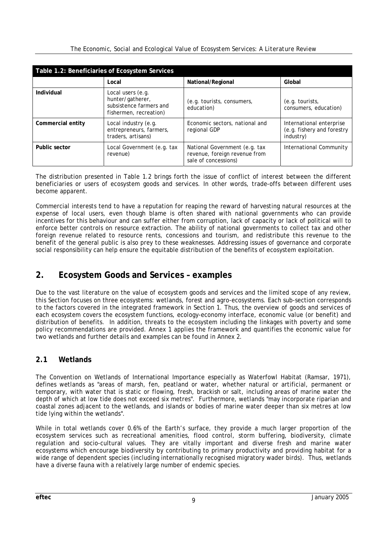|  |  | The Economic, Social and Ecological Value of Ecosystem Services: A Literature Review |
|--|--|--------------------------------------------------------------------------------------|
|  |  |                                                                                      |

| Table 1.2: Beneficiaries of Ecosystem Services |                                                                                            |                                                                                        |                                                                     |  |  |
|------------------------------------------------|--------------------------------------------------------------------------------------------|----------------------------------------------------------------------------------------|---------------------------------------------------------------------|--|--|
|                                                | Local                                                                                      | National/Regional                                                                      | Global                                                              |  |  |
| Individual                                     | Local users (e.g.<br>hunter/gatherer,<br>subsistence farmers and<br>fishermen, recreation) | (e.g. tourists, consumers,<br>education)                                               | (e.g. tourists,<br>consumers, education)                            |  |  |
| Commercial entity                              | Local industry (e.g.<br>entrepreneurs, farmers,<br>traders, artisans)                      | Economic sectors, national and<br>regional GDP                                         | International enterprise<br>(e.g. fishery and forestry<br>industry) |  |  |
| Public sector                                  | Local Government (e.g. tax<br>revenue)                                                     | National Government (e.g. tax<br>revenue, foreign revenue from<br>sale of concessions) | International Community                                             |  |  |

The distribution presented in Table 1.2 brings forth the issue of conflict of interest between the different beneficiaries or users of ecosystem goods and services. In other words, trade-offs between different uses become apparent.

Commercial interests tend to have a reputation for reaping the reward of harvesting natural resources at the expense of local users, even though blame is often shared with national governments who can provide incentives for this behaviour and can suffer either from corruption, lack of capacity or lack of political will to enforce better controls on resource extraction. The ability of national governments to collect tax and other foreign revenue related to resource rents, concessions and tourism, and redistribute this revenue to the benefit of the general public is also prey to these weaknesses. Addressing issues of governance and corporate social responsibility can help ensure the equitable distribution of the benefits of ecosystem exploitation.

# **2. Ecosystem Goods and Services – examples**

Due to the vast literature on the value of ecosystem goods and services and the limited scope of any review, this Section focuses on three ecosystems: wetlands, forest and agro-ecosystems. Each sub-section corresponds to the factors covered in the integrated framework in Section 1. Thus, the overview of goods and services of each ecosystem covers the ecosystem functions, ecology-economy interface, economic value (or benefit) and distribution of benefits. In addition, threats to the ecosystem including the linkages with poverty and some policy recommendations are provided. Annex 1 applies the framework and quantifies the economic value for two wetlands and further details and examples can be found in Annex 2.

# **2.1 Wetlands**

The Convention on Wetlands of International Importance especially as Waterfowl Habitat (Ramsar, 1971), defines wetlands as "areas of marsh, fen, peatland or water, whether natural or artificial, permanent or temporary, with water that is static or flowing, fresh, brackish or salt, including areas of marine water the depth of which at low tide does not exceed six metres". Furthermore, wetlands "may incorporate riparian and coastal zones adjacent to the wetlands, and islands or bodies of marine water deeper than six metres at low tide lying within the wetlands".

While in total wetlands cover 0.6% of the Earth's surface, they provide a much larger proportion of the ecosystem services such as recreational amenities, flood control, storm buffering, biodiversity, climate regulation and socio-cultural values. They are vitally important and diverse fresh and marine water ecosystems which encourage biodiversity by contributing to primary productivity and providing habitat for a wide range of dependent species (including internationally recognised migratory wader birds). Thus, wetlands have a diverse fauna with a relatively large number of endemic species.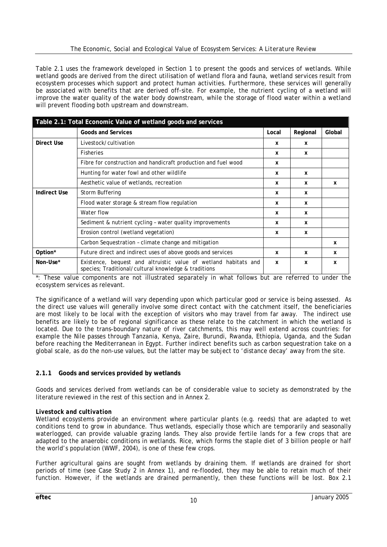#### *The Economic, Social and Ecological Value of Ecosystem Services: A Literature Review*

Table 2.1 uses the framework developed in Section 1 to present the goods and services of wetlands. While wetland *goods* are derived from the direct utilisation of wetland flora and fauna, wetland *services* result from ecosystem processes which support and protect human activities. Furthermore, these services will generally be associated with benefits that are derived off-site. For example, the nutrient cycling of a wetland will improve the water quality of the water body downstream, while the storage of flood water within a wetland will prevent flooding both upstream and downstream.

| Table 2.1: Total Economic Value of wetland goods and services |                                                                                                                         |       |              |        |  |
|---------------------------------------------------------------|-------------------------------------------------------------------------------------------------------------------------|-------|--------------|--------|--|
|                                                               | <b>Goods and Services</b>                                                                                               | Local | Regional     | Global |  |
| Direct Use                                                    | Livestock/cultivation                                                                                                   | x     | $\mathbf{x}$ |        |  |
|                                                               | <b>Fisheries</b>                                                                                                        | x     | X            |        |  |
|                                                               | Fibre for construction and handicraft production and fuel wood                                                          | x     |              |        |  |
|                                                               | Hunting for water fowl and other wildlife                                                                               | x     | $\mathbf x$  |        |  |
|                                                               | Aesthetic value of wetlands, recreation                                                                                 | X     | x            | x      |  |
| <b>Indirect Use</b>                                           | Storm Buffering                                                                                                         | x     | $\mathbf{x}$ |        |  |
|                                                               | Flood water storage & stream flow regulation                                                                            | x     | $\mathbf{x}$ |        |  |
|                                                               | Water flow                                                                                                              | X     | x            |        |  |
|                                                               | Sediment & nutrient cycling - water quality improvements                                                                | x     | x            |        |  |
|                                                               | Erosion control (wetland vegetation)                                                                                    | X     | X            |        |  |
|                                                               | Carbon Sequestration - climate change and mitigation                                                                    |       |              | X      |  |
| Option*                                                       | Future direct and indirect uses of above goods and services                                                             | x     | x            | X      |  |
| Non-Use*                                                      | Existence, bequest and altruistic value of wetland habitats and<br>species; Traditional/cultural knowledge & traditions | X     | X            | X      |  |

\*: These value components are not illustrated separately in what follows but are referred to under the ecosystem services as relevant.

The significance of a wetland will vary depending upon which particular good or service is being assessed. As the direct use values will generally involve some direct contact with the catchment itself, the beneficiaries are most likely to be local with the exception of visitors who may travel from far away. The indirect use benefits are likely to be of regional significance as these relate to the catchment in which the wetland is located. Due to the trans-boundary nature of river catchments, this may well extend across countries: for example the Nile passes through Tanzania, Kenya, Zaire, Burundi, Rwanda, Ethiopia, Uganda, and the Sudan before reaching the Mediterranean in Egypt. Further indirect benefits such as carbon sequestration take on a global scale, as do the non-use values, but the latter may be subject to 'distance decay' away from the site.

#### **2.1.1 Goods and services provided by wetlands**

Goods and services derived from wetlands can be of considerable value to society as demonstrated by the literature reviewed in the rest of this section and in Annex 2.

#### *Livestock and cultivation*

Wetland ecosystems provide an environment where particular plants (e.g. reeds) that are adapted to wet conditions tend to grow in abundance. Thus wetlands, especially those which are temporarily and seasonally waterlogged, can provide valuable grazing lands. They also provide fertile lands for a few crops that are adapted to the anaerobic conditions in wetlands. Rice, which forms the staple diet of 3 billion people or half the world's population (WWF, 2004), is one of these few crops.

Further agricultural gains are sought from wetlands by draining them. If wetlands are drained for short periods of time (see Case Study 2 in Annex 1), and re-flooded, they may be able to retain much of their function. However, if the wetlands are drained permanently, then these functions will be lost. Box 2.1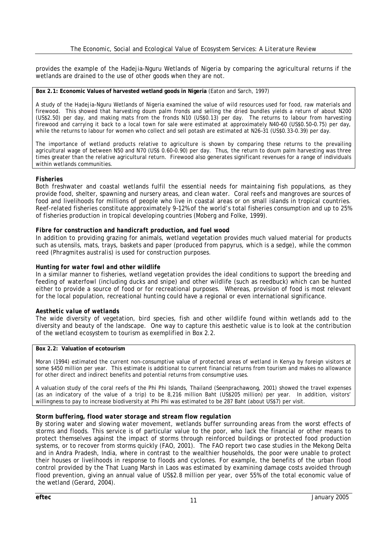provides the example of the Hadejia-Nguru Wetlands of Nigeria by comparing the agricultural returns if the wetlands are drained to the use of other goods when they are not.

#### **Box 2.1: Economic Values of harvested wetland goods in Nigeria** (Eaton and Sarch, 1997)

A study of the Hadejia-Nguru Wetlands of Nigeria examined the value of wild resources used for food, raw materials and firewood. This showed that harvesting doum palm fronds and selling the dried bundles yields a return of about N200 (US\$2.50) per day, and making mats from the fronds N10 (US\$0.13) per day. The returns to labour from harvesting firewood and carrying it back to a local town for sale were estimated at approximately N40–60 (US\$0.50–0.75) per day, while the returns to labour for women who collect and sell potash are estimated at N26–31 (US\$0.33–0.39) per day.

The importance of wetland products relative to agriculture is shown by comparing these returns to the prevailing agricultural wage of between N50 and N70 (US\$ 0.60–0.90) per day. Thus, the return to doum palm harvesting was three times greater than the relative agricultural return. Firewood also generates significant revenues for a range of individuals within wetlands communities.

#### *Fisheries*

Both freshwater and coastal wetlands fulfil the essential needs for maintaining fish populations, as they provide food, shelter, spawning and nursery areas, and clean water. Coral reefs and mangroves are sources of food and livelihoods for millions of people who live in coastal areas or on small islands in tropical countries. Reef-related fisheries constitute approximately 9–12% of the world's total fisheries consumption and up to 25% of fisheries production in tropical developing countries (Moberg and Folke, 1999).

#### *Fibre for construction and handicraft production, and fuel wood*

In addition to providing grazing for animals, wetland vegetation provides much valued material for products such as utensils, mats, trays, baskets and paper (produced from papyrus, which is a sedge), while the common reed (*Phragmites australis*) is used for construction purposes.

#### *Hunting for water fowl and other wildlife*

In a similar manner to fisheries, wetland vegetation provides the ideal conditions to support the breeding and feeding of waterfowl (including ducks and snipe) and other wildlife (such as reedbuck) which can be hunted either to provide a source of food or for recreational purposes. Whereas, provision of food is most relevant for the local population, recreational hunting could have a regional or even international significance.

#### *Aesthetic value of wetlands*

The wide diversity of vegetation, bird species, fish and other wildlife found within wetlands add to the diversity and beauty of the landscape. One way to capture this aesthetic value is to look at the contribution of the wetland ecosystem to tourism as exemplified in Box 2.2.

#### **Box 2.2: Valuation of ecotourism**

Moran (1994) estimated the current non-consumptive value of protected areas of wetland in Kenya by foreign visitors at some \$450 million per year. This estimate is additional to current financial returns from tourism and makes no allowance for other direct and indirect benefits and potential returns from consumptive uses.

A valuation study of the coral reefs of the Phi Phi Islands, Thailand (Seenprachawong, 2001) showed the travel expenses (as an indicatory of the value of a trip) to be 8,216 million Baht (US\$205 million) per year. In addition, visitors' willingness to pay to increase biodiversity at Phi Phi was estimated to be 287 Baht (about US\$7) per visit.

#### *Storm buffering, flood water storage and stream flow regulation*

By storing water and slowing water movement, wetlands buffer surrounding areas from the worst effects of storms and floods. This service is of particular value to the poor, who lack the financial or other means to protect themselves against the impact of storms through reinforced buildings or protected food production systems, or to recover from storms quickly (FAO, 2001). The FAO report two case studies in the Mekong Delta and in Andra Pradesh, India, where in contrast to the wealthier households, the poor were unable to protect their houses or livelihoods in response to floods and cyclones. For example, the benefits of the urban flood control provided by the That Luang Marsh in Laos was estimated by examining damage costs avoided through flood prevention, giving an annual value of US\$2.8 million per year, over 55% of the total economic value of the wetland (Gerard, 2004).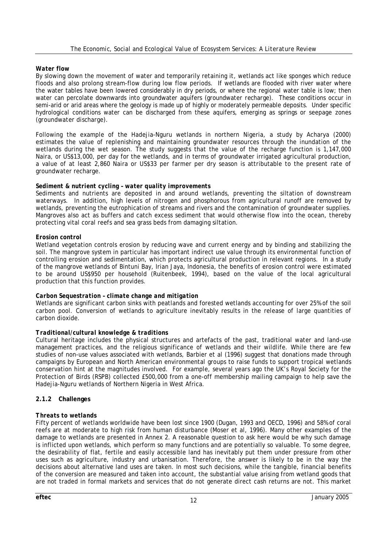#### *Water flow*

By slowing down the movement of water and temporarily retaining it, wetlands act like sponges which reduce floods and also prolong stream-flow during low flow periods. If wetlands are flooded with river water where the water tables have been lowered considerably in dry periods, or where the regional water table is low; then water can percolate downwards into groundwater aquifers (*groundwater recharge*). These conditions occur in semi-arid or arid areas where the geology is made up of highly or moderately permeable deposits. Under specific hydrological conditions water can be discharged from these aquifers, emerging as springs or seepage zones (*groundwater discharge*).

Following the example of the Hadejia-Nguru wetlands in northern Nigeria, a study by Acharya (2000) estimates the value of replenishing and maintaining groundwater resources through the inundation of the wetlands during the wet season. The study suggests that the value of the recharge function is 1,147,000 Naira, or US\$13,000, per day for the wetlands, and in terms of groundwater irrigated agricultural production, a value of at least 2,860 Naira or US\$33 per farmer per dry season is attributable to the present rate of groundwater recharge.

#### *Sediment & nutrient cycling – water quality improvements*

Sediments and nutrients are deposited in and around wetlands, preventing the siltation of downstream waterways. In addition, high levels of nitrogen and phosphorous from agricultural runoff are removed by wetlands, preventing the eutrophication of streams and rivers and the contamination of groundwater supplies. Mangroves also act as buffers and catch excess sediment that would otherwise flow into the ocean, thereby protecting vital coral reefs and sea grass beds from damaging siltation.

#### *Erosion control*

Wetland vegetation controls erosion by reducing wave and current energy and by binding and stabilizing the soil. The mangrove system in particular has important indirect use value through its environmental function of controlling erosion and sedimentation, which protects agricultural production in relevant regions. In a study of the mangrove wetlands of Bintuni Bay, Irian Jaya, Indonesia, the benefits of erosion control were estimated to be around US\$950 per household (Ruitenbeek, 1994), based on the value of the local agricultural production that this function provides.

#### *Carbon Sequestration – climate change and mitigation*

Wetlands are significant carbon sinks with peatlands and forested wetlands accounting for over 25% of the soil carbon pool. Conversion of wetlands to agriculture inevitably results in the release of large quantities of carbon dioxide.

#### *Traditional/cultural knowledge & traditions*

Cultural heritage includes the physical structures and artefacts of the past, traditional water and land-use management practices, and the religious significance of wetlands and their wildlife. While there are few studies of non-use values associated with wetlands, Barbier et al (1996) suggest that donations made through campaigns by European and North American environmental groups to raise funds to support tropical wetlands conservation hint at the magnitudes involved. For example, several years ago the UK's Royal Society for the Protection of Birds (RSPB) collected £500,000 from a one-off membership mailing campaign to help save the Hadejia-Nguru wetlands of Northern Nigeria in West Africa.

#### **2.1.2 Challenges**

#### *Threats to wetlands*

Fifty percent of wetlands worldwide have been lost since 1900 (Dugan, 1993 and OECD, 1996) and 58% of coral reefs are at moderate to high risk from human disturbance (Moser et al, 1996). Many other examples of the damage to wetlands are presented in Annex 2. A reasonable question to ask here would be why such damage is inflicted upon wetlands, which perform so many functions and are potentially so valuable. To some degree, the desirability of flat, fertile and easily accessible land has inevitably put them under pressure from other uses such as agriculture, industry and urbanisation. Therefore, the answer is likely to be in the way the decisions about alternative land uses are taken. In most such decisions, while the tangible, financial benefits of the conversion are measured and taken into account, the substantial value arising from wetland goods that are not traded in formal markets and services that do not generate direct cash returns are not. This market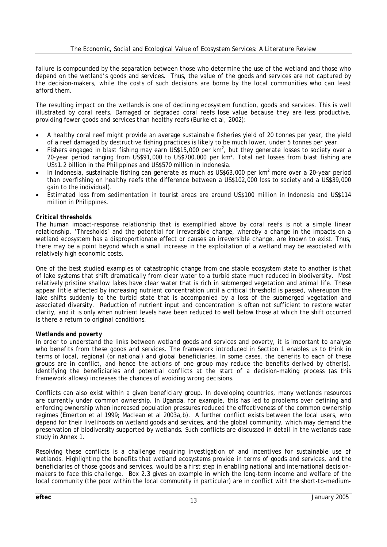failure is compounded by the separation between those who determine the use of the wetland and those who depend on the wetland's goods and services. Thus, the value of the goods and services are not captured by the decision-makers, while the costs of such decisions are borne by the local communities who can least afford them.

The resulting impact on the wetlands is one of declining ecosystem function, goods and services. This is well illustrated by coral reefs. Damaged or degraded coral reefs lose value because they are less productive, providing fewer goods and services than healthy reefs (Burke et al, 2002):

- A healthy coral reef might provide an average sustainable fisheries yield of 20 tonnes per year, the yield of a reef damaged by destructive fishing practices is likely to be much lower, under 5 tonnes per year.
- Fishers engaged in blast fishing may earn US\$15,000 per  $km^2$ , but they generate losses to society over a 20-year period ranging from US\$91,000 to US\$700,000 per  $km^2$ . Total net losses from blast fishing are US\$1.2 billion in the Philippines and US\$570 million in Indonesia.
- In Indonesia, sustainable fishing can generate as much as US\$63,000 per  $km^2$  more over a 20-year period than overfishing on healthy reefs (the difference between a US\$102,000 loss to society and a US\$39,000 gain to the individual).
- Estimated loss from sedimentation in tourist areas are around US\$100 million in Indonesia and US\$114 million in Philippines.

#### *Critical thresholds*

The human impact-response relationship that is exemplified above by coral reefs is not a simple linear relationship. 'Thresholds' and the potential for irreversible change, whereby a change in the impacts on a wetland ecosystem has a disproportionate effect or causes an irreversible change, are known to exist. Thus, there may be a point beyond which a small increase in the exploitation of a wetland may be associated with relatively high economic costs.

One of the best studied examples of catastrophic change from one stable ecosystem state to another is that of lake systems that shift dramatically from clear water to a turbid state much reduced in biodiversity. Most relatively pristine shallow lakes have clear water that is rich in submerged vegetation and animal life. These appear little affected by increasing nutrient concentration until a critical threshold is passed, whereupon the lake shifts suddenly to the turbid state that is accompanied by a loss of the submerged vegetation and associated diversity. Reduction of nutrient input and concentration is often not sufficient to restore water clarity, and it is only when nutrient levels have been reduced to well below those at which the shift occurred is there a return to original conditions.

#### *Wetlands and poverty*

In order to understand the links between wetland goods and services and poverty, it is important to analyse who benefits from these goods and services. The framework introduced in Section 1 enables us to think in terms of local, regional (or national) and global beneficiaries. In some cases, the benefits to each of these groups are in conflict, and hence the actions of one group may reduce the benefits derived by other(s). Identifying the beneficiaries and potential conflicts at the start of a decision-making process (as this framework allows) increases the chances of avoiding wrong decisions.

Conflicts can also exist within a given beneficiary group. In developing countries, many wetlands resources are currently under common ownership. In Uganda, for example, this has led to problems over defining and enforcing ownership when increased population pressures reduced the effectiveness of the common ownership regimes (Emerton et al 1999; Maclean et al 2003a,b). A further conflict exists between the local users, who depend for their livelihoods on wetland goods and services, and the global community, which may demand the preservation of biodiversity supported by wetlands. Such conflicts are discussed in detail in the wetlands case study in Annex 1.

Resolving these conflicts is a challenge requiring investigation of and incentives for sustainable use of wetlands. Highlighting the benefits that wetland ecosystems provide in terms of goods and services, and the beneficiaries of those goods and services, would be a first step in enabling national and international decisionmakers to face this challenge. Box 2.3 gives an example in which the long-term income and welfare of the local community (the poor within the local community in particular) are in conflict with the short-to-medium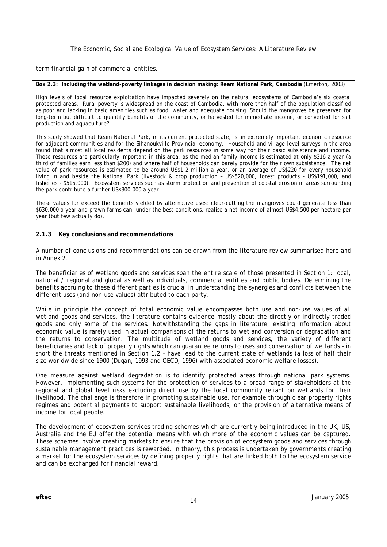term financial gain of commercial entities.

#### **Box 2.3: Including the wetland-poverty linkages in decision making: Ream National Park, Cambodia** (Emerton, 2003)

High levels of local resource exploitation have impacted severely on the natural ecosystems of Cambodia's six coastal protected areas. Rural poverty is widespread on the coast of Cambodia, with more than half of the population classified as poor and lacking in basic amenities such as food, water and adequate housing. Should the mangroves be preserved for long-term but difficult to quantify benefits of the community, or harvested for immediate income, or converted for salt production and aquaculture?

This study showed that Ream National Park, in its current protected state, is an extremely important economic resource for adjacent communities and for the Sihanoukville Provincial economy. Household and village level surveys in the area found that almost all local residents depend on the park resources in some way for their basic subsistence and income. These resources are particularly important in this area, as the median family income is estimated at only \$316 a year (a third of families earn less than \$200) and where half of households can barely provide for their own subsistence. The net value of park resources is estimated to be around US\$1.2 million a year, or an average of US\$220 for every household living in and beside the National Park (livestock & crop production – US\$520,000, forest products – US\$191,000, and fisheries - \$515,000). Ecosystem services such as storm protection and prevention of coastal erosion in areas surrounding the park contribute a further US\$300,000 a year.

These values far exceed the benefits yielded by alternative uses: clear-cutting the mangroves could generate less than \$630,000 a year and prawn farms can, under the best conditions, realise a net income of almost US\$4,500 per hectare per year (but few actually do).

#### **2.1.3 Key conclusions and recommendations**

A number of conclusions and recommendations can be drawn from the literature review summarised here and in Annex 2.

The beneficiaries of wetland goods and services span the entire scale of those presented in Section 1: local, national / regional and global as well as individuals, commercial entities and public bodies. Determining the benefits accruing to these different parties is crucial in understanding the synergies and conflicts between the different uses (and non-use values) attributed to each party.

While in principle the concept of total economic value encompasses both use and non-use values of all wetland goods and services, the literature contains evidence mostly about the directly or indirectly traded goods and only some of the services. Notwithstanding the gaps in literature, existing information about economic value is rarely used in actual comparisons of the returns to wetland conversion or degradation and the returns to conservation. The multitude of wetland goods and services, the variety of different beneficiaries and lack of property rights which can guarantee returns to uses and conservation of wetlands – in short the threats mentioned in Section 1.2 – have lead to the current state of wetlands (a loss of half their size worldwide since 1900 (Dugan, 1993 and OECD, 1996) with associated economic welfare losses).

One measure against wetland degradation is to identify protected areas through national park systems. However, implementing such systems for the protection of services to a broad range of stakeholders at the regional and global level risks excluding direct use by the local community reliant on wetlands for their livelihood. The challenge is therefore in promoting sustainable use, for example through clear property rights regimes and potential payments to support sustainable livelihoods, or the provision of alternative means of income for local people.

The development of ecosystem services trading schemes which are currently being introduced in the UK, US, Australia and the EU offer the potential means with which more of the economic values can be captured. These schemes involve creating markets to ensure that the provision of ecosystem goods and services through sustainable management practices is rewarded. In theory, this process is undertaken by governments creating a market for the ecosystem services by defining property rights that are linked both to the ecosystem service and can be exchanged for financial reward.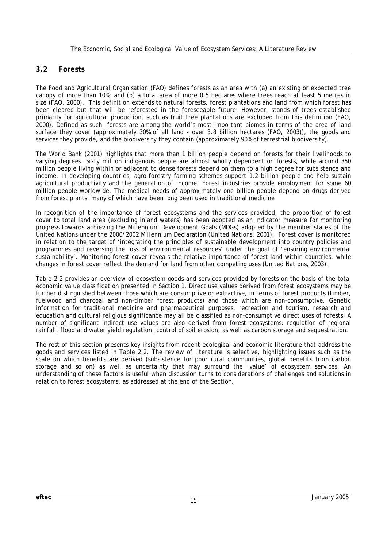## **3.2 Forests**

The Food and Agricultural Organisation (FAO) defines forests as an area with (a) an existing or expected tree canopy of more than 10%; and (b) a total area of more 0.5 hectares where trees reach at least 5 metres in size (FAO, 2000). This definition extends to natural forests, forest plantations and land from which forest has been cleared but that will be reforested in the foreseeable future. However, stands of trees established primarily for agricultural production, such as fruit tree plantations are excluded from this definition (FAO, 2000). Defined as such, forests are among the world's most important biomes in terms of the area of land surface they cover (approximately 30% of all land - over 3.8 billion hectares (FAO, 2003)), the goods and services they provide, and the biodiversity they contain (approximately 90% of terrestrial biodiversity).

The World Bank (2001) highlights that more than 1 billion people depend on forests for their livelihoods to varying degrees. Sixty million indigenous people are almost wholly dependent on forests, while around 350 million people living within or adjacent to dense forests depend on them to a high degree for subsistence and income. In developing countries, agro-forestry farming schemes support 1.2 billion people and help sustain agricultural productivity and the generation of income. Forest industries provide employment for some 60 million people worldwide. The medical needs of approximately one billion people depend on drugs derived from forest plants, many of which have been long been used in traditional medicine

In recognition of the importance of forest ecosystems and the services provided, the proportion of forest cover to total land area (excluding inland waters) has been adopted as an indicator measure for monitoring progress towards achieving the Millennium Development Goals (MDGs) adopted by the member states of the United Nations under the 2000/2002 Millennium Declaration (United Nations, 2001). Forest cover is monitored in relation to the target of 'integrating the principles of sustainable development into country policies and programmes and reversing the loss of environmental resources' under the goal of 'ensuring environmental sustainability'. Monitoring forest cover reveals the relative importance of forest land within countries, while changes in forest cover reflect the demand for land from other competing uses (United Nations, 2003).

Table 2.2 provides an overview of ecosystem goods and services provided by forests on the basis of the total economic value classification presented in Section 1. Direct use values derived from forest ecosystems may be further distinguished between those which are consumptive or extractive, in terms of forest products (timber, fuelwood and charcoal and non-timber forest products) and those which are non-consumptive. Genetic information for traditional medicine and pharmaceutical purposes, recreation and tourism, research and education and cultural religious significance may all be classified as non-consumptive direct uses of forests. A number of significant indirect use values are also derived from forest ecosystems: regulation of regional rainfall, flood and water yield regulation, control of soil erosion, as well as carbon storage and sequestration.

The rest of this section presents key insights from recent ecological and economic literature that address the goods and services listed in Table 2.2. The review of literature is selective, highlighting issues such as the scale on which benefits are derived (subsistence for poor rural communities, global benefits from carbon storage and so on) as well as uncertainty that may surround the 'value' of ecosystem services. An understanding of these factors is useful when discussion turns to considerations of challenges and solutions in relation to forest ecosystems, as addressed at the end of the Section.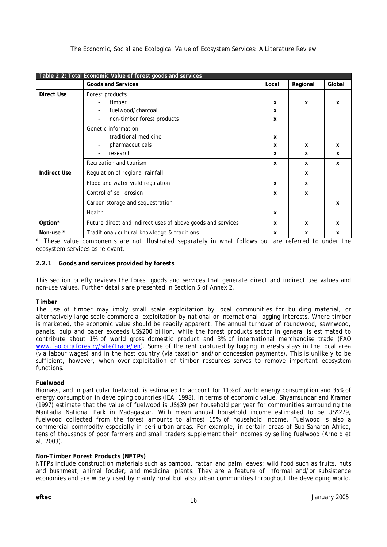|                     | Table 2.2: Total Economic Value of forest goods and services |             |                           |             |
|---------------------|--------------------------------------------------------------|-------------|---------------------------|-------------|
|                     | <b>Goods and Services</b>                                    | Local       | Regional                  | Global      |
| Direct Use          | Forest products                                              |             |                           |             |
|                     | timber                                                       | X           | X                         | $\mathbf x$ |
|                     | fuelwood/charcoal                                            | X           |                           |             |
|                     | non-timber forest products                                   | X           |                           |             |
|                     | Genetic information                                          |             |                           |             |
|                     | traditional medicine                                         | X           |                           |             |
|                     | pharmaceuticals                                              | X           | $\boldsymbol{\mathsf{x}}$ | x           |
|                     | research                                                     | x           | x                         | X           |
|                     | Recreation and tourism                                       | $\mathbf x$ | $\mathbf x$               | x           |
| <b>Indirect Use</b> | Regulation of regional rainfall                              |             | X                         |             |
|                     | Flood and water yield regulation                             | X           | $\mathbf x$               |             |
|                     | Control of soil erosion                                      | $\mathbf x$ | x                         |             |
|                     | Carbon storage and sequestration                             |             |                           | X           |
|                     | Health                                                       | X           |                           |             |
| Option*             | Future direct and indirect uses of above goods and services  | X           | X                         | x           |
| Non-use *           | Traditional/cultural knowledge & traditions                  | X           | X                         | x           |

\*: These value components are not illustrated separately in what follows but are referred to under the ecosystem services as relevant.

#### **2.2.1 Goods and services provided by forests**

This section briefly reviews the forest goods and services that generate direct and indirect use values and non-use values. Further details are presented in Section 5 of Annex 2.

#### *Timber*

The use of timber may imply small scale exploitation by local communities for building material, or alternatively large scale commercial exploitation by national or international logging interests. Where timber is marketed, the economic value should be readily apparent. The annual turnover of roundwood, sawnwood, panels, pulp and paper exceeds US\$200 billion, while the forest products sector in general is estimated to contribute about 1% of world gross domestic product and 3% of international merchandise trade (FAO www.fao.org/forestry/site/trade/en). Some of the rent captured by logging interests stays in the local area (via labour wages) and in the host country (via taxation and/or concession payments). This is unlikely to be sufficient, however, when over-exploitation of timber resources serves to remove important ecosystem functions.

#### *Fuelwood*

Biomass, and in particular fuelwood, is estimated to account for 11% of world energy consumption and 35% of energy consumption in developing countries (IEA, 1998). In terms of economic value, Shyamsundar and Kramer (1997) estimate that the value of fuelwood is US\$39 per household per year for communities surrounding the Mantadia National Park in Madagascar. With mean annual household income estimated to be US\$279, fuelwood collected from the forest amounts to almost 15% of household income. Fuelwood is also a commercial commodity especially in peri-urban areas. For example, in certain areas of Sub-Saharan Africa, tens of thousands of poor farmers and small traders supplement their incomes by selling fuelwood (Arnold et al, 2003).

#### *Non-Timber Forest Products (NFTPs)*

NTFPs include construction materials such as bamboo, rattan and palm leaves; wild food such as fruits, nuts and bushmeat; animal fodder; and medicinal plants. They are a feature of informal and/or subsistence economies and are widely used by mainly rural but also urban communities throughout the developing world.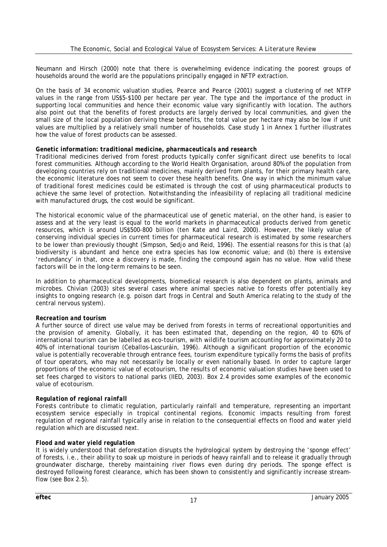Neumann and Hirsch (2000) note that there is overwhelming evidence indicating the poorest groups of households around the world are the populations principally engaged in NFTP extraction.

On the basis of 34 economic valuation studies, Pearce and Pearce (2001) suggest a clustering of net NTFP values in the range from US\$5-\$100 per hectare per year. The type and the importance of the product in supporting local communities and hence their economic value vary significantly with location. The authors also point out that the benefits of forest products are largely derived by local communities, and given the small size of the local population deriving these benefits, the total value per hectare may also be low if unit values are multiplied by a relatively small number of households. Case study 1 in Annex 1 further illustrates how the value of forest products can be assessed.

#### *Genetic information: traditional medicine, pharmaceuticals and research*

Traditional medicines derived from forest products typically confer significant direct use benefits to local forest communities. Although according to the World Health Organisation, around 80% of the population from developing countries rely on traditional medicines, mainly derived from plants, for their primary health care, the economic literature does not seem to cover these health benefits. One way in which the minimum value of traditional forest medicines could be estimated is through the cost of using pharmaceutical products to achieve the same level of protection. Notwithstanding the infeasibility of replacing all traditional medicine with manufactured drugs, the cost would be significant.

The historical economic value of the pharmaceutical use of genetic material, on the other hand, is easier to assess and at the very least is equal to the world markets in pharmaceutical products derived from genetic resources, which is around US\$500-800 billion (ten Kate and Laird, 2000). However, the likely value of conserving individual species in current times for pharmaceutical research is estimated by some researchers to be lower than previously thought (Simpson, Sedjo and Reid, 1996). The essential reasons for this is that (a) biodiversity is abundant and hence one extra species has low economic value; and (b) there is extensive 'redundancy' in that, once a discovery is made, finding the compound again has no value. How valid these factors will be in the long-term remains to be seen.

In addition to pharmaceutical developments, biomedical research is also dependent on plants, animals and microbes. Chivian (2003) sites several cases where animal species native to forests offer potentially key insights to ongoing research (e.g. poison dart frogs in Central and South America relating to the study of the central nervous system).

#### *Recreation and tourism*

A further source of direct use value may be derived from forests in terms of recreational opportunities and the provision of amenity. Globally, it has been estimated that, depending on the region, 40 to 60% of international tourism can be labelled as eco-tourism, with wildlife tourism accounting for approximately 20 to 40% of international tourism (Ceballos-Lascuráin, 1996). Although a significant proportion of the economic value is potentially recoverable through entrance fees, tourism expenditure typically forms the basis of profits of tour operators, who may not necessarily be locally or even nationally based. In order to capture larger proportions of the economic value of ecotourism, the results of economic valuation studies have been used to set fees charged to visitors to national parks (IIED, 2003). Box 2.4 provides some examples of the economic value of ecotourism.

#### *Regulation of regional rainfall*

Forests contribute to climatic regulation, particularly rainfall and temperature, representing an important ecosystem service especially in tropical continental regions. Economic impacts resulting from forest regulation of regional rainfall typically arise in relation to the consequential effects on flood and water yield regulation which are discussed next.

#### *Flood and water yield regulation*

It is widely understood that deforestation disrupts the hydrological system by destroying the 'sponge effect' of forests, i.e., their ability to soak up moisture in periods of heavy rainfall and to release it gradually through groundwater discharge, thereby maintaining river flows even during dry periods. The sponge effect is destroyed following forest clearance, which has been shown to consistently and significantly increase streamflow (see Box 2.5).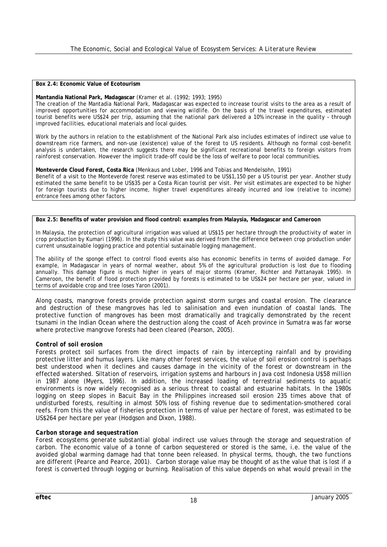#### **Box 2.4: Economic Value of Ecotourism**

#### **Mantandia National Park, Madagascar** (Kramer et al. (1992; 1993; 1995)

The creation of the Mantadia National Park, Madagascar was expected to increase tourist visits to the area as a result of improved opportunities for accommodation and viewing wildlife. On the basis of the travel expenditures, estimated tourist benefits were US\$24 per trip, assuming that the national park delivered a 10% increase in the quality – through improved facilities, educational materials and local guides.

Work by the authors in relation to the establishment of the National Park also includes estimates of indirect use value to downstream rice farmers, and non-use (existence) value of the forest to US residents. Although no formal cost-benefit analysis is undertaken, the research suggests there may be significant recreational benefits to foreign visitors from rainforest conservation. However the implicit trade-off could be the loss of welfare to poor local communities.

**Monteverde Cloud Forest, Costa Rica** (Menkaus and Lober, 1996 and Tobias and Mendelsohn, 1991) Benefit of a visit to the Monteverde forest reserve was estimated to be US\$1,150 per a US tourist per year. Another study estimated the same benefit to be US\$35 per a Costa Rican tourist per visit. Per visit estimates are expected to be higher for foreign tourists due to higher income, higher travel expenditures already incurred and low (relative to income) entrance fees among other factors.

#### **Box 2.5: Benefits of water provision and flood control: examples from Malaysia, Madagascar and Cameroon**

In Malaysia, the protection of agricultural irrigation was valued at US\$15 per hectare through the productivity of water in crop production by Kumari (1996). In the study this value was derived from the difference between crop production under current unsustainable logging practice and potential sustainable logging management.

The ability of the sponge effect to control flood events also has economic benefits in terms of avoided damage. For example, in Madagascar in years of normal weather, about 5% of the agricultural production is lost due to flooding annually. This damage figure is much higher in years of major storms (Kramer, Richter and Pattanayak 1995). In Cameroon, the benefit of flood protection provided by forests is estimated to be US\$24 per hectare per year, valued in terms of avoidable crop and tree loses Yaron (2001).

Along coasts, mangrove forests provide protection against storm surges and coastal erosion. The clearance and destruction of these mangroves has led to salinisation and even inundation of coastal lands. The protective function of mangroves has been most dramatically and tragically demonstrated by the recent tsunami in the Indian Ocean where the destruction along the coast of Aceh province in Sumatra was far worse where protective mangrove forests had been cleared (Pearson, 2005).

#### *Control of soil erosion*

Forests protect soil surfaces from the direct impacts of rain by intercepting rainfall and by providing protective litter and humus layers. Like many other forest services, the value of soil erosion control is perhaps best understood when it declines and causes damage in the vicinity of the forest or downstream in the effected watershed. Siltation of reservoirs, irrigation systems and harbours in Java cost Indonesia U\$58 million in 1987 alone (Myers, 1996). In addition, the increased loading of terrestrial sediments to aquatic environments is now widely recognised as a serious threat to coastal and estuarine habitats. In the 1980s logging on steep slopes in Bacuit Bay in the Philippines increased soil erosion 235 times above that of undisturbed forests, resulting in almost 50% loss of fishing revenue due to sedimentation-smothered coral reefs. From this the value of fisheries protection in terms of value per hectare of forest, was estimated to be US\$264 per hectare per year (Hodgson and Dixon, 1988).

#### *Carbon storage and sequestration*

Forest ecosystems generate substantial global indirect use values through the storage and sequestration of carbon. The economic value of a tonne of carbon sequestered or stored is the same, i.e. the value of the avoided global warming damage had that tonne been released. In physical terms, though, the two functions are different (Pearce and Pearce, 2001). Carbon storage value may be thought of as the value that is lost if a forest is converted through logging or burning. Realisation of this value depends on what would prevail in the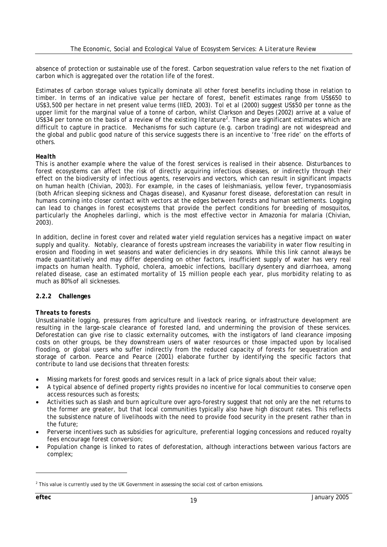absence of protection or sustainable use of the forest. Carbon sequestration value refers to the net fixation of carbon which is aggregated over the rotation life of the forest.

Estimates of carbon storage values typically dominate all other forest benefits including those in relation to timber. In terms of an indicative value per hectare of forest, benefit estimates range from US\$650 to US\$3,500 per hectare in net present value terms (IIED, 2003). Tol et al (2000) suggest US\$50 per tonne as the upper limit for the marginal value of a tonne of carbon, whilst Clarkson and Deyes (2002) arrive at a value of US\$34 per tonne on the basis of a review of the existing literature<sup>2</sup>. These are significant estimates which are difficult to capture in practice. Mechanisms for such capture (e.g. carbon trading) are not widespread and the global and public good nature of this service suggests there is an incentive to 'free ride' on the efforts of others.

#### *Health*

This is another example where the value of the forest services is realised in their absence. Disturbances to forest ecosystems can affect the risk of directly acquiring infectious diseases, or indirectly through their effect on the biodiversity of infectious agents, reservoirs and vectors, which can result in significant impacts on human health (Chivian, 2003). For example, in the cases of leishmaniasis, yellow fever, trypanosomiasis (both African sleeping sickness and Chagas disease), and Kyasanur forest disease, deforestation can result in humans coming into closer contact with vectors at the edges between forests and human settlements. Logging can lead to changes in forest ecosystems that provide the perfect conditions for breeding of mosquitos, particularly the *Anopheles darlingi*, which is the most effective vector in Amazonia for malaria (Chivian, 2003).

In addition, decline in forest cover and related water yield regulation services has a negative impact on water supply and quality. Notably, clearance of forests upstream increases the variability in water flow resulting in erosion and flooding in wet seasons and water deficiencies in dry seasons. While this link cannot always be made quantitatively and may differ depending on other factors, insufficient supply of water has very real impacts on human health. Typhoid, cholera, amoebic infections, bacillary dysentery and diarrhoea, among related disease, case an estimated mortality of 15 million people each year, plus morbidity relating to as much as 80% of all sicknesses.

#### **2.2.2 Challenges**

#### *Threats to forests*

Unsustainable logging, pressures from agriculture and livestock rearing, or infrastructure development are resulting in the large-scale clearance of forested land, and undermining the provision of these services. Deforestation can give rise to classic externality outcomes, with the instigators of land clearance imposing costs on other groups, be they downstream users of water resources or those impacted upon by localised flooding, or global users who suffer indirectly from the reduced capacity of forests for sequestration and storage of carbon. Pearce and Pearce (2001) elaborate further by identifying the specific factors that contribute to land use decisions that threaten forests:

- Missing markets for forest goods and services result in a lack of price signals about their value;
- A typical absence of defined property rights provides no incentive for local communities to conserve open access resources such as forests;
- Activities such as slash and burn agriculture over agro-forestry suggest that not only are the net returns to the former are greater, but that local communities typically also have high discount rates. This reflects the subsistence nature of livelihoods with the need to provide food security in the present rather than in the future;
- Perverse incentives such as subsidies for agriculture, preferential logging concessions and reduced royalty fees encourage forest conversion;
- Population change is linked to rates of deforestation, although interactions between various factors are complex;

<sup>&</sup>lt;sup>2</sup> This value is currently used by the UK Government in assessing the social cost of carbon emissions.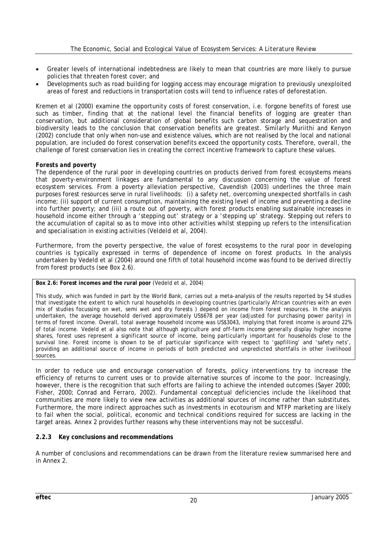- Greater levels of international indebtedness are likely to mean that countries are more likely to pursue policies that threaten forest cover; and
- Developments such as road building for logging access may encourage migration to previously unexploited areas of forest and reductions in transportation costs will tend to influence rates of deforestation.

Kremen et al (2000) examine the opportunity costs of forest conservation, i.e. forgone benefits of forest use such as timber, finding that at the national level the financial benefits of logging are greater than conservation, but additional consideration of global benefits such carbon storage and sequestration and biodiversity leads to the conclusion that conservation benefits are greatest. Similarly Muriithi and Kenyon (2002) conclude that only when non-use and existence values, which are not realised by the local and national population, are included do forest conservation benefits exceed the opportunity costs. Therefore, overall, the challenge of forest conservation lies in creating the correct incentive framework to capture these values.

#### *Forests and poverty*

The dependence of the rural poor in developing countries on products derived from forest ecosystems means that poverty-environment linkages are fundamental to any discussion concerning the value of forest ecosystem services. From a poverty alleviation perspective, Cavendish (2003) underlines the three main purposes forest resources serve in rural livelihoods: (i) a safety net, overcoming unexpected shortfalls in cash income; (ii) support of current consumption, maintaining the existing level of income and preventing a decline into further poverty; and (iii) a route out of poverty, with forest products enabling sustainable increases in household income either through a 'stepping out' strategy or a 'stepping up' strategy. Stepping out refers to the accumulation of capital so as to move into other activities whilst stepping up refers to the intensification and specialisation in existing activities (Veldeld et al, 2004).

Furthermore, from the poverty perspective, the value of forest ecosystems to the rural poor in developing countries is typically expressed in terms of dependence of income on forest products. In the analysis undertaken by Vedeld et al (2004) around one fifth of total household income was found to be derived directly from forest products (see Box 2.6).

#### **Box 2.6: Forest incomes and the rural poor** (Vedeld et al, 2004)

This study, which was funded in part by the World Bank, carries out a meta-analysis of the results reported by 54 studies that investigate the extent to which rural households in developing countries (particularly African countries with an even mix of studies focussing on wet, semi wet and dry forests ) depend on income from forest resources. In the analysis undertaken, the average household derived approximately US\$678 per year (adjusted for purchasing power parity) in terms of forest income. Overall, total average household income was US\$3043, implying that forest income is around 22% of total income. Vedeld et al also note that although agriculture and off-farm income generally display higher income shares, forest uses represent a significant source of income, being particularly important for households close to the survival line. Forest income is shown to be of particular significance with respect to 'gapfilling' and 'safety nets', providing an additional source of income in periods of both predicted and unpredicted shortfalls in other livelihood sources.

In order to reduce use and encourage conservation of forests, policy interventions try to increase the efficiency of returns to current uses or to provide alternative sources of income to the poor. Increasingly, however, there is the recognition that such efforts are failing to achieve the intended outcomes (Sayer 2000; Fisher, 2000; Conrad and Ferraro, 2002). Fundamental conceptual deficiencies include the likelihood that communities are more likely to view new activities as additional sources of income rather than substitutes. Furthermore, the more indirect approaches such as investments in ecotourism and NTFP marketing are likely to fail when the social, political, economic and technical conditions required for success are lacking in the target areas. Annex 2 provides further reasons why these interventions may not be successful.

#### **2.2.3 Key conclusions and recommendations**

A number of conclusions and recommendations can be drawn from the literature review summarised here and in Annex 2.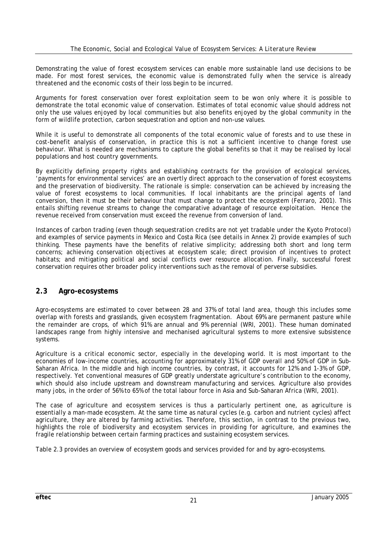Demonstrating the value of forest ecosystem services can enable more sustainable land use decisions to be made. For most forest services, the economic value is demonstrated fully when the service is already threatened and the economic costs of their loss begin to be incurred.

Arguments for forest conservation over forest exploitation seem to be won only where it is possible to demonstrate the total economic value of conservation. Estimates of total economic value should address not only the use values enjoyed by local communities but also benefits enjoyed by the global community in the form of wildlife protection, carbon sequestration and option and non-use values.

While it is useful to demonstrate all components of the total economic value of forests and to use these in cost-benefit analysis of conservation, in practice this is not a sufficient incentive to change forest use behaviour. What is needed are mechanisms to capture the global benefits so that it may be realised by local populations and host country governments.

By explicitly defining property rights and establishing contracts for the provision of ecological services, 'payments for environmental services' are an overtly direct approach to the conservation of forest ecosystems and the preservation of biodiversity. The rationale is simple: conservation can be achieved by increasing the value of forest ecosystems to local communities. If local inhabitants are the principal agents of land conversion, then it must be their behaviour that must change to protect the ecosystem (Ferraro, 2001). This entails shifting revenue streams to change the comparative advantage of resource exploitation. Hence the revenue received from conservation must exceed the revenue from conversion of land.

Instances of carbon trading (even though sequestration credits are not yet tradable under the Kyoto Protocol) and examples of service payments in Mexico and Costa Rica (see details in Annex 2) provide examples of such thinking. These payments have the benefits of relative simplicity; addressing both short and long term concerns; achieving conservation objectives at ecosystem scale; direct provision of incentives to protect habitats; and mitigating political and social conflicts over resource allocation. Finally, successful forest conservation requires other broader policy interventions such as the removal of perverse subsidies.

### **2.3 Agro-ecosystems**

Agro-ecosystems are estimated to cover between 28 and 37% of total land area, though this includes some overlap with forests and grasslands, given ecosystem fragmentation. About 69% are permanent pasture while the remainder are crops, of which 91% are annual and 9% perennial (WRI, 2001). These human dominated landscapes range from highly intensive and mechanised agricultural systems to more extensive subsistence systems.

Agriculture is a critical economic sector, especially in the developing world. It is most important to the economies of low-income countries, accounting for approximately 31% of GDP overall and 50% of GDP in Sub-Saharan Africa. In the middle and high income countries, by contrast, it accounts for 12% and 1-3% of GDP, respectively. Yet conventional measures of GDP greatly understate agriculture's contribution to the economy, which should also include upstream and downstream manufacturing and services. Agriculture also provides many jobs, in the order of 56% to 65% of the total labour force in Asia and Sub-Saharan Africa (WRI, 2001).

The case of agriculture and ecosystem services is thus a particularly pertinent one, as agriculture is essentially a man-made ecosystem. At the same time as natural cycles (e.g. carbon and nutrient cycles) affect agriculture, they are altered by farming activities. Therefore, this section, in contrast to the previous two, highlights the role of biodiversity and ecosystem services in *providing for* agriculture, and examines the fragile relationship between certain farming practices and sustaining ecosystem services.

Table 2.3 provides an overview of ecosystem goods and services provided for and by agro-ecosystems.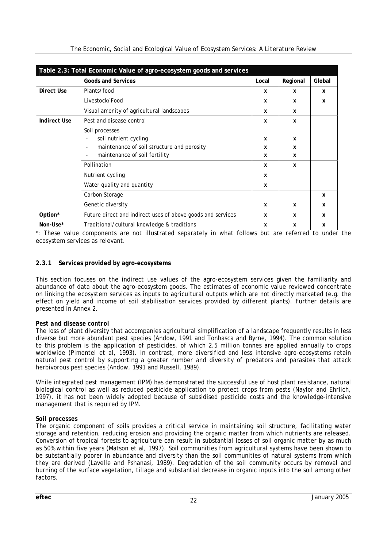| Table 2.3: Total Economic Value of agro-ecosystem goods and services |                                                                                                                                                    |                  |             |        |  |  |
|----------------------------------------------------------------------|----------------------------------------------------------------------------------------------------------------------------------------------------|------------------|-------------|--------|--|--|
|                                                                      | <b>Goods and Services</b>                                                                                                                          | Local            | Regional    | Global |  |  |
| Direct Use                                                           | Plants/food                                                                                                                                        | x                | x           | x      |  |  |
|                                                                      | Livestock/Food                                                                                                                                     | x                | x           | x      |  |  |
|                                                                      | Visual amenity of agricultural landscapes                                                                                                          | x                | x           |        |  |  |
| <b>Indirect Use</b>                                                  | Pest and disease control                                                                                                                           | x                | x           |        |  |  |
|                                                                      | Soil processes<br>soil nutrient cycling<br>maintenance of soil structure and porosity<br>$\overline{\phantom{a}}$<br>maintenance of soil fertility | X<br>x<br>x<br>x | X<br>X<br>x |        |  |  |
|                                                                      | Pollination                                                                                                                                        |                  | x           |        |  |  |
|                                                                      | Nutrient cycling                                                                                                                                   | x                |             |        |  |  |
|                                                                      | Water quality and quantity                                                                                                                         | x                |             |        |  |  |
|                                                                      | Carbon Storage                                                                                                                                     |                  |             | X      |  |  |
|                                                                      | Genetic diversity                                                                                                                                  | x                | x           | x      |  |  |
| Option*                                                              | Future direct and indirect uses of above goods and services                                                                                        | x                | x           | x      |  |  |
| Non-Use*                                                             | Traditional/cultural knowledge & traditions                                                                                                        | x                | X           | X      |  |  |

\*: These value components are not illustrated separately in what follows but are referred to under the ecosystem services as relevant.

#### **2.3.1 Services provided by agro-ecosystems**

This section focuses on the indirect use values of the agro-ecosystem services given the familiarity and abundance of data about the agro-ecosystem goods. The estimates of economic value reviewed concentrate on linking the ecosystem services as inputs to agricultural outputs which are not directly marketed (e.g. the effect on yield and income of soil stabilisation services provided by different plants). Further details are presented in Annex 2.

#### *Pest and disease control*

The loss of plant diversity that accompanies agricultural simplification of a landscape frequently results in less diverse but more abundant pest species (Andow, 1991 and Tonhasca and Byrne, 1994). The common solution to this problem is the application of pesticides, of which 2.5 million tonnes are applied annually to crops worldwide (Pimentel et al, 1993). In contrast, more diversified and less intensive agro-ecosystems retain natural pest control by supporting a greater number and diversity of predators and parasites that attack herbivorous pest species (Andow, 1991 and Russell, 1989).

While integrated pest management (IPM) has demonstrated the successful use of host plant resistance, natural biological control as well as reduced pesticide application to protect crops from pests (Naylor and Ehrlich, 1997), it has not been widely adopted because of subsidised pesticide costs and the knowledge-intensive management that is required by IPM.

#### *Soil processes*

The organic component of soils provides a critical service in maintaining soil structure, facilitating water storage and retention, reducing erosion and providing the organic matter from which nutrients are released. Conversion of tropical forests to agriculture can result in substantial losses of soil organic matter by as much as 50% within five years (Matson et al, 1997). Soil communities from agricultural systems have been shown to be substantially poorer in abundance and diversity than the soil communities of natural systems from which they are derived (Lavelle and Pshanasi, 1989). Degradation of the soil community occurs by removal and burning of the surface vegetation, tillage and substantial decrease in organic inputs into the soil among other factors.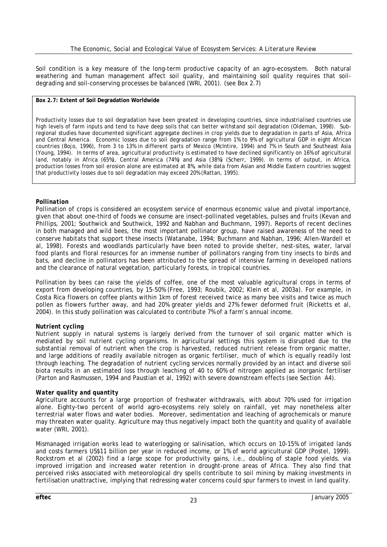Soil condition is a key measure of the long-term productive capacity of an agro-ecosystem. Both natural weathering and human management affect soil quality, and maintaining soil quality requires that soildegrading and soil-conserving processes be balanced (WRI, 2001). (see Box 2.7)

#### **Box 2.7: Extent of Soil Degradation Worldwide**

Productivity losses due to soil degradation have been greatest in developing countries, since industrialised countries use high levels of farm inputs and tend to have deep soils that can better withstand soil degradation (Oldeman, 1998). Subregional studies have documented significant aggregate declines in crop yields due to degradation in parts of Asia, Africa and Central America. Economic losses due to soil degradation range from 1% to 9% of agricultural GDP in eight African countries (Bojo, 1996), from 3 to 13% in different parts of Mexico (McIntire, 1994) and 7% in South and Southeast Asia (Young, 1994). In terms of area, agricultural productivity is estimated to have declined significantly on 16% of agricultural land, notably in Africa (65%), Central America (74%) and Asia (38%) (Scherr, 1999). In terms of output, in Africa, production losses from soil erosion alone are estimated at 8%, while data from Asian and Middle Eastern countries suggest that productivity losses due to soil degradation may exceed 20% (Rattan, 1995).

#### *Pollination*

Pollination of crops is considered an ecosystem service of enormous economic value and pivotal importance, given that about one-third of foods we consume are insect-pollinated vegetables, pulses and fruits (Kevan and Phillips, 2001; Southwick and Southwick, 1992 and Nabhan and Buchmann, 1997). Reports of recent declines in both managed and wild bees, the most important pollinator group, have raised awareness of the need to conserve habitats that support these insects (Watanabe, 1994; Buchmann and Nabhan, 1996; Allen-Wardell et al, 1998). Forests and woodlands particularly have been noted to provide shelter, nest-sites, water, larval food plants and floral resources for an immense number of pollinators ranging from tiny insects to birds and bats, and decline in pollinators has been attributed to the spread of intensive farming in developed nations and the clearance of natural vegetation, particularly forests, in tropical countries.

Pollination by bees can raise the yields of coffee, one of the most valuable agricultural crops in terms of export from developing countries, by 15-50% (Free, 1993; Roubik, 2002; Klein et al, 2003a). For example, in Costa Rica flowers on coffee plants within 1km of forest received twice as many bee visits and twice as much pollen as flowers further away, and had 20% greater yields and 27% fewer deformed fruit (Ricketts et al, 2004). In this study pollination was calculated to contribute 7% of a farm's annual income.

#### *Nutrient cycling*

Nutrient supply in natural systems is largely derived from the turnover of soil organic matter which is mediated by soil nutrient cycling organisms. In agricultural settings this system is disrupted due to the substantial removal of nutrient when the crop is harvested, reduced nutrient release from organic matter, and large additions of readily available nitrogen as organic fertiliser, much of which is equally readily lost through leaching. The degradation of nutrient cycling services normally provided by an intact and diverse soil biota results in an estimated loss through leaching of 40 to 60% of nitrogen applied as inorganic fertiliser (Parton and Rasmussen, 1994 and Paustian et al, 1992) with severe downstream effects (see Section A4).

#### *Water quality and quantity*

Agriculture accounts for a large proportion of freshwater withdrawals, with about 70% used for irrigation alone. Eighty-two percent of world agro-ecosystems rely solely on rainfall, yet may nonetheless alter terrestrial water flows and water bodies. Moreover, sedimentation and leaching of agrochemicals or manure may threaten water quality. Agriculture may thus negatively impact both the quantity and quality of available water (WRI, 2001).

Mismanaged irrigation works lead to waterlogging or salinisation, which occurs on 10-15% of irrigated lands and costs farmers US\$11 billion per year in reduced income, or 1% of world agricultural GDP (Postel, 1999). Rockstrom et al (2002) find a large scope for productivity gains, i.e., doubling of staple food yields, via improved irrigation and increased water retention in drought-prone areas of Africa. They also find that perceived risks associated with meteorological dry spells contribute to soil mining by making investments in fertilisation unattractive, implying that redressing water concerns could spur farmers to invest in land quality.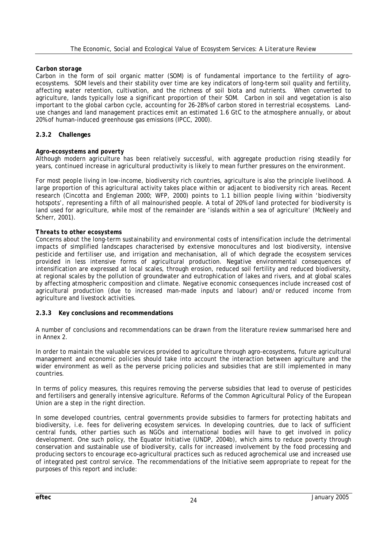#### *Carbon storage*

Carbon in the form of soil organic matter (SOM) is of fundamental importance to the fertility of agroecosystems. SOM levels and their stability over time are key indicators of long-term soil quality and fertility, affecting water retention, cultivation, and the richness of soil biota and nutrients. When converted to agriculture, lands typically lose a significant proportion of their SOM. Carbon in soil and vegetation is also important to the global carbon cycle, accounting for 26-28% of carbon stored in terrestrial ecosystems. Landuse changes and land management practices emit an estimated 1.6 GtC to the atmosphere annually, or about 20% of human-induced greenhouse gas emissions (IPCC, 2000).

#### **2.3.2 Challenges**

#### *Agro-ecosystems and poverty*

Although modern agriculture has been relatively successful, with aggregate production rising steadily for years, continued increase in agricultural productivity is likely to mean further pressures on the environment.

For most people living in low-income, biodiversity rich countries, agriculture is also the principle livelihood. A large proportion of this agricultural activity takes place within or adjacent to biodiversity rich areas. Recent research (Cincotta and Engleman 2000; WFP, 2000) points to 1.1 billion people living within 'biodiversity hotspots', representing a fifth of all malnourished people. A total of 20% of land protected for biodiversity is land used for agriculture, while most of the remainder are 'islands within a sea of agriculture' (McNeely and Scherr, 2001).

#### *Threats to other ecosystems*

Concerns about the long-term sustainability and environmental costs of intensification include the detrimental impacts of simplified landscapes characterised by extensive monocultures and lost biodiversity, intensive pesticide and fertiliser use, and irrigation and mechanisation, all of which degrade the ecosystem services provided in less intensive forms of agricultural production. Negative environmental consequences of intensification are expressed at local scales, through erosion, reduced soil fertility and reduced biodiversity, at regional scales by the pollution of groundwater and eutrophication of lakes and rivers, and at global scales by affecting atmospheric composition and climate. Negative economic consequences include increased cost of agricultural production (due to increased man-made inputs and labour) and/or reduced income from agriculture and livestock activities.

#### **2.3.3 Key conclusions and recommendations**

A number of conclusions and recommendations can be drawn from the literature review summarised here and in Annex 2.

In order to maintain the valuable services provided to agriculture through agro-ecosystems, future agricultural management and economic policies should take into account the interaction between agriculture and the wider environment as well as the perverse pricing policies and subsidies that are still implemented in many countries.

In terms of policy measures, this requires removing the perverse subsidies that lead to overuse of pesticides and fertilisers and generally intensive agriculture. Reforms of the Common Agricultural Policy of the European Union are a step in the right direction.

In some developed countries, central governments provide subsidies to farmers for protecting habitats and biodiversity, i.e. fees for delivering ecosystem services. In developing countries, due to lack of sufficient central funds, other parties such as NGOs and international bodies will have to get involved in policy development. One such policy, the Equator Initiative (UNDP, 2004b), which aims to reduce poverty through conservation and sustainable use of biodiversity, calls for increased involvement by the food processing and producing sectors to encourage eco-agricultural practices such as reduced agrochemical use and increased use of integrated pest control service. The recommendations of the Initiative seem appropriate to repeat for the purposes of this report and include: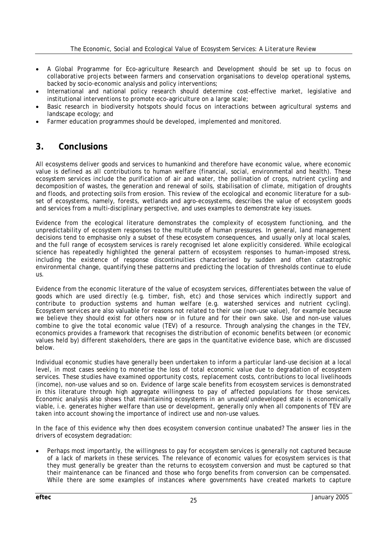- A Global Programme for Eco-agriculture Research and Development should be set up to focus on collaborative projects between farmers and conservation organisations to develop operational systems, backed by socio-economic analysis and policy interventions;
- International and national policy research should determine cost-effective market, legislative and institutional interventions to promote eco-agriculture on a large scale;
- Basic research in biodiversity hotspots should focus on interactions between agricultural systems and landscape ecology; and
- Farmer education programmes should be developed, implemented and monitored.

# **3. Conclusions**

All ecosystems deliver goods and services to humankind and therefore have economic value, where economic value is defined as all contributions to human welfare (financial, social, environmental and health). These ecosystem services include the purification of air and water, the pollination of crops, nutrient cycling and decomposition of wastes, the generation and renewal of soils, stabilisation of climate, mitigation of droughts and floods, and protecting soils from erosion. This review of the ecological and economic literature for a subset of ecosystems, namely, forests, wetlands and agro-ecosystems, describes the value of ecosystem goods and services from a multi-disciplinary perspective, and uses examples to demonstrate key issues.

Evidence from the ecological literature demonstrates the complexity of ecosystem functioning, and the unpredictability of ecosystem responses to the multitude of human pressures. In general, land management decisions tend to emphasise only a subset of these ecosystem consequences, and usually only at local scales, and the full range of ecosystem services is rarely recognised let alone explicitly considered. While ecological science has repeatedly highlighted the general pattern of ecosystem responses to human-imposed stress, including the existence of response discontinuities characterised by sudden and often catastrophic environmental change, quantifying these patterns and predicting the location of thresholds continue to elude us.

Evidence from the economic literature of the value of ecosystem services, differentiates between the value of goods which are used *directly* (e.g. timber, fish, etc) and those services which *indirectly* support and contribute to production systems and human welfare (e.g. watershed services and nutrient cycling). Ecosystem services are also valuable for reasons not related to their use (*non-use value*), for example because we believe they should exist for others now or in future and for their own sake. Use and non-use values combine to give the total economic value (TEV) of a resource. Through analysing the changes in the TEV, economics provides a framework that recognises the distribution of economic benefits between (or economic values held by) different stakeholders, there are gaps in the quantitative evidence base, which are discussed below.

Individual economic studies have generally been undertaken to inform a particular land-use decision at a local level, in most cases seeking to monetise the loss of total economic value due to degradation of ecosystem services. These studies have examined opportunity costs, replacement costs, contributions to local livelihoods (income), non-use values and so on. Evidence of large scale benefits from ecosystem services is demonstrated in this literature through high aggregate willingness to pay of affected populations for those services. Economic analysis also shows that maintaining ecosystems in an unused/undeveloped state is economically viable, i.e. generates higher welfare than use or development, generally only when all components of TEV are taken into account showing the importance of indirect use and non-use values.

In the face of this evidence why then does ecosystem conversion continue unabated? The answer lies in the drivers of ecosystem degradation:

• Perhaps most importantly, the willingness to pay for ecosystem services is generally not captured because of a lack of markets in these services. The relevance of economic values for ecosystem services is that they must generally be greater than the returns to ecosystem conversion and must be captured so that their maintenance can be financed and those who forgo benefits from conversion can be compensated. While there are some examples of instances where governments have created markets to capture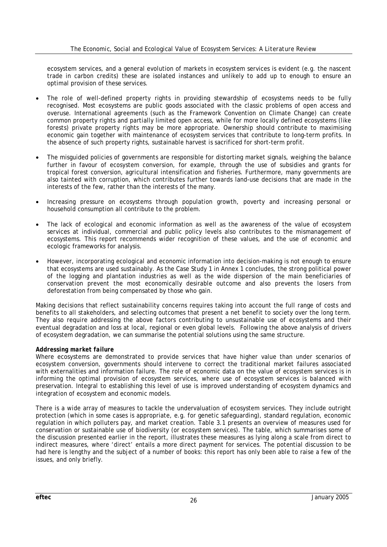ecosystem services, and a general evolution of markets in ecosystem services is evident (e.g. the nascent trade in carbon credits) these are isolated instances and unlikely to add up to enough to ensure an optimal provision of these services.

- The role of well-defined property rights in providing stewardship of ecosystems needs to be fully recognised. Most ecosystems are public goods associated with the classic problems of open access and overuse. International agreements (such as the Framework Convention on Climate Change) can create common property rights and partially limited open access, while for more locally defined ecosystems (like forests) private property rights may be more appropriate. Ownership should contribute to maximising economic gain together with maintenance of ecosystem services that contribute to long-term profits. In the absence of such property rights, sustainable harvest is sacrificed for short-term profit.
- The misguided policies of governments are responsible for distorting market signals, weighing the balance further in favour of ecosystem conversion, for example, through the use of subsidies and grants for tropical forest conversion, agricultural intensification and fisheries. Furthermore, many governments are also tainted with corruption, which contributes further towards land-use decisions that are made in the interests of the few, rather than the interests of the many.
- Increasing pressure on ecosystems through population growth, poverty and increasing personal or household consumption all contribute to the problem.
- The lack of ecological and economic information as well as the awareness of the value of ecosystem services at individual, commercial and public policy levels also contributes to the mismanagement of ecosystems. This report recommends wider recognition of these values, and the use of economic and ecologic frameworks for analysis.
- However, incorporating ecological and economic information into decision-making is not enough to ensure that ecosystems are used sustainably. As the Case Study 1 in Annex 1 concludes, the strong political power of the logging and plantation industries as well as the wide dispersion of the main beneficiaries of conservation prevent the most economically desirable outcome and also prevents the losers from deforestation from being compensated by those who gain.

Making decisions that reflect sustainability concerns requires taking into account the full range of costs and benefits to all stakeholders, and selecting outcomes that present a net benefit to society over the long term. They also require addressing the above factors contributing to unsustainable use of ecosystems and their eventual degradation and loss at local, regional or even global levels. Following the above analysis of drivers of ecosystem degradation, we can summarise the potential solutions using the same structure.

#### *Addressing market failure*

Where ecosystems are demonstrated to provide services that have higher value than under scenarios of ecosystem conversion, governments should intervene to correct the traditional market failures associated with externalities and information failure. The role of economic data on the value of ecosystem services is in informing the optimal provision of ecosystem services, where use of ecosystem services is balanced with preservation. Integral to establishing this level of use is improved understanding of ecosystem dynamics and integration of ecosystem and economic models.

There is a wide array of measures to tackle the undervaluation of ecosystem services. They include outright protection (which in some cases is appropriate, e.g. for genetic safeguarding), standard regulation, economic regulation in which polluters pay, and market creation. Table 3.1 presents an overview of measures used for conservation or sustainable use of biodiversity (or ecosystem services). The table, which summarises some of the discussion presented earlier in the report, illustrates these measures as lying along a scale from direct to indirect measures, where 'direct' entails a more direct payment for services. The potential discussion to be had here is lengthy and the subject of a number of books: this report has only been able to raise a few of the issues, and only briefly.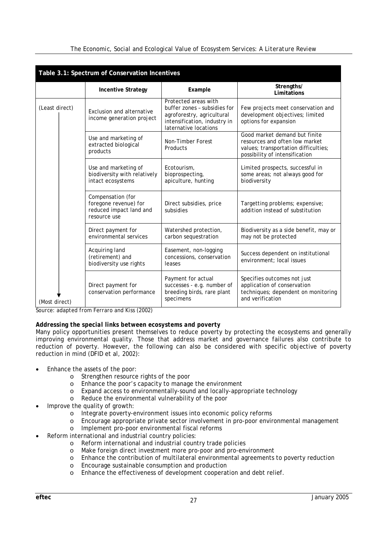| Table 3.1: Spectrum of Conservation Incentives |                                                                                       |                                                                                                                                             |                                                                                                                                           |  |  |
|------------------------------------------------|---------------------------------------------------------------------------------------|---------------------------------------------------------------------------------------------------------------------------------------------|-------------------------------------------------------------------------------------------------------------------------------------------|--|--|
|                                                | <b>Incentive Strategy</b>                                                             | Example                                                                                                                                     | Strengths/<br>Limitations                                                                                                                 |  |  |
| (Least direct)                                 | Exclusion and alternative<br>income generation project                                | Protected areas with<br>buffer zones - subsidies for<br>agroforestry, agricultural<br>intensification, industry in<br>laternative locations | Few projects meet conservation and<br>development objectives; limited<br>options for expansion                                            |  |  |
|                                                | Use and marketing of<br>extracted biological<br>products                              | Non-Timber Forest<br>Products                                                                                                               | Good market demand but finite<br>resources and often low market<br>values; transportation difficulties;<br>possibility of intensification |  |  |
|                                                | Use and marketing of<br>biodiversity with relatively<br>intact ecosystems             | Ecotourism,<br>bioprospecting,<br>apiculture, hunting                                                                                       | Limited prospects, successful in<br>some areas; not always good for<br>biodiversity                                                       |  |  |
|                                                | Compensation (for<br>foregone revenue) for<br>reduced impact land and<br>resource use | Direct subsidies, price<br>subsidies                                                                                                        | Targetting problems; expensive;<br>addition instead of substitution                                                                       |  |  |
|                                                | Direct payment for<br>environmental services                                          | Watershed protection,<br>carbon sequestration                                                                                               | Biodiversity as a side benefit, may or<br>may not be protected                                                                            |  |  |
|                                                | Acquiring land<br>(retirement) and<br>biodiversity use rights                         | Easement, non-logging<br>concessions, conservation<br>leases                                                                                | Success dependent on institutional<br>environment: local issues                                                                           |  |  |
| (Most direct)                                  | Direct payment for<br>conservation performance                                        | Payment for actual<br>successes - e.g. number of<br>breeding birds, rare plant<br>specimens                                                 | Specifies outcomes not just<br>application of conservation<br>techniques; dependent on monitoring<br>and verification                     |  |  |

*The Economic, Social and Ecological Value of Ecosystem Services: A Literature Review* 

*Source: adapted from Ferraro and Kiss (2002)*

#### *Addressing the special links between ecosystems and poverty*

Many policy opportunities present themselves to reduce poverty by protecting the ecosystems and generally improving environmental quality. Those that address market and governance failures also contribute to reduction of poverty. However, the following can also be considered with specific objective of poverty reduction in mind (DFID et al, 2002):

- Enhance the assets of the poor:
	- o Strengthen resource rights of the poor
	- o Enhance the poor's capacity to manage the environment
	- o Expand access to environmentally-sound and locally-appropriate technology
	- o Reduce the environmental vulnerability of the poor
- Improve the quality of growth:
	- o Integrate poverty-environment issues into economic policy reforms
	- o Encourage appropriate private sector involvement in pro-poor environmental management
	- o Implement pro-poor environmental fiscal reforms
- Reform international and industrial country policies:
	- o Reform international and industrial country trade policies
	- o Make foreign direct investment more pro-poor and pro-environment
	- o Enhance the contribution of multilateral environmental agreements to poverty reduction
	- o Encourage sustainable consumption and production
	- o Enhance the effectiveness of development cooperation and debt relief.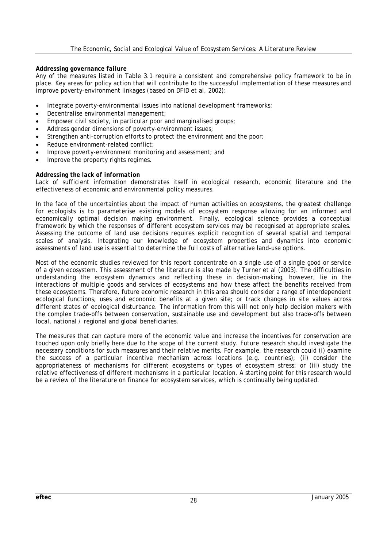#### *Addressing governance failure*

Any of the measures listed in Table 3.1 require a consistent and comprehensive policy framework to be in place. Key areas for policy action that will contribute to the successful implementation of these measures and improve poverty-environment linkages (based on DFID et al, 2002):

- Integrate poverty-environmental issues into national development frameworks;
- Decentralise environmental management;
- Empower civil society, in particular poor and marginalised groups;
- Address gender dimensions of poverty-environment issues;
- Strengthen anti-corruption efforts to protect the environment and the poor;
- Reduce environment-related conflict;
- Improve poverty-environment monitoring and assessment; and
- Improve the property rights regimes.

#### *Addressing the lack of information*

Lack of sufficient information demonstrates itself in ecological research, economic literature and the effectiveness of economic and environmental policy measures.

In the face of the uncertainties about the impact of human activities on ecosystems, the greatest challenge for ecologists is to parameterise existing models of ecosystem response allowing for an informed and economically optimal decision making environment. Finally, ecological science provides a conceptual framework by which the responses of different ecosystem services may be recognised at appropriate scales. Assessing the outcome of land use decisions requires explicit recognition of several spatial and temporal scales of analysis. Integrating our knowledge of ecosystem properties and dynamics into economic assessments of land use is essential to determine the full costs of alternative land-use options.

Most of the economic studies reviewed for this report concentrate on a single use of a single good or service of a given ecosystem. This assessment of the literature is also made by Turner et al (2003). The difficulties in understanding the ecosystem dynamics and reflecting these in decision-making, however, lie in the interactions of multiple goods and services of ecosystems and how these affect the benefits received from these ecosystems. Therefore, future economic research in this area should consider a range of interdependent ecological functions, uses and economic benefits at a given site; or track changes in site values across different states of ecological disturbance. The information from this will not only help decision makers with the complex trade-offs between conservation, sustainable use and development but also trade-offs between local, national / regional and global beneficiaries.

The measures that can capture more of the economic value and increase the incentives for conservation are touched upon only briefly here due to the scope of the current study. Future research should investigate the necessary conditions for such measures and their relative merits. For example, the research could (i) examine the success of a particular incentive mechanism across locations (e.g. countries); (ii) consider the appropriateness of mechanisms for different ecosystems or types of ecosystem stress; or (iii) study the relative effectiveness of different mechanisms in a particular location. A starting point for this research would be a review of the literature on finance for ecosystem services, which is continually being updated.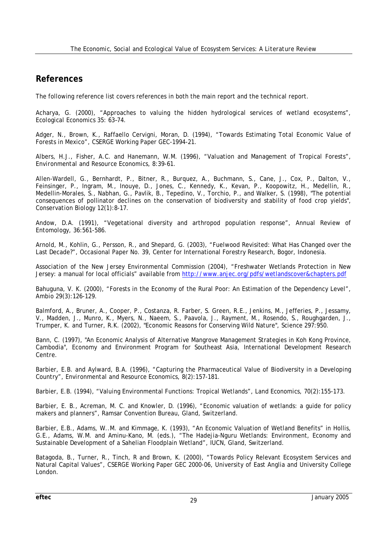# **References**

The following reference list covers references in both the main report and the technical report.

Acharya, G. (2000), "Approaches to valuing the hidden hydrological services of wetland ecosystems", *Ecological Econom*ics 35: 63–74.

Adger, N., Brown, K., Raffaello Cervigni, Moran, D. (1994), "Towards Estimating Total Economic Value of Forests in Mexico", CSERGE Working Paper GEC-1994-21.

Albers, H.J., Fisher, A.C. and Hanemann, W.M. (1996), "Valuation and Management of Tropical Forests", *Environmental and Resource Economics,* 8:39-61.

Allen-Wardell, G., Bernhardt, P., Bitner, R., Burquez, A., Buchmann, S., Cane, J., Cox, P., Dalton, V., Feinsinger, P., Ingram, M., Inouye, D., Jones, C., Kennedy, K., Kevan, P., Koopowitz, H., Medellin, R., Medellin-Morales, S., Nabhan, G., Pavlik, B., Tepedino, V., Torchio, P., and Walker, S. (1998), "The potential consequences of pollinator declines on the conservation of biodiversity and stability of food crop yields", *Conservation Biology* 12(1):8-17.

Andow, D.A. (1991), "Vegetational diversity and arthropod population response", *Annual Review of Entomology,* 36:561-586.

Arnold, M., Kohlin, G., Persson, R., and Shepard, G. (2003), "Fuelwood Revisited: What Has Changed over the Last Decade?", Occasional Paper No. 39, Center for International Forestry Research, Bogor, Indonesia.

Association of the New Jersey Environmental Commission (2004), "Freshwater Wetlands Protection in New Jersey: a manual for local officials" available from http://www.anjec.org/pdfs/wetlandscover&chapters.pdf

Bahuguna, V. K. (2000), "Forests in the Economy of the Rural Poor: An Estimation of the Dependency Level", *Ambio* 29(3):126-129.

Balmford, A., Bruner, A., Cooper, P., Costanza, R. Farber, S. Green, R.E., Jenkins, M., Jefferies, P., Jessamy, V., Madden, J., Munro, K., Myers, N., Naeem, S., Paavola, J., Rayment, M., Rosendo, S., Roughgarden, J., Trumper, K. and Turner, R.K. (2002), "Economic Reasons for Conserving Wild Nature", *Science* 297:950.

Bann, C. (1997), "An Economic Analysis of Alternative Mangrove Management Strategies in Koh Kong Province, Cambodia", Economy and Environment Program for Southeast Asia, International Development Research Centre.

Barbier, E.B. and Aylward, B.A. (1996), "Capturing the Pharmaceutical Value of Biodiversity in a Developing Country", *Environmental and Resource Economics,* 8(2):157-181.

Barbier, E.B. (1994), "Valuing Environmental Functions: Tropical Wetlands", *Land Economics,* 70(2):155-173.

Barbier, E. B., Acreman, M. C. and Knowler, D. (1996), "Economic valuation of wetlands: a guide for policy makers and planners", Ramsar Convention Bureau, Gland, Switzerland.

Barbier, E.B., Adams, W..M. and Kimmage, K. (1993), "An Economic Valuation of Wetland Benefits" in Hollis, G.E., Adams, W.M. and Aminu-Kano, M. (eds.), "The Hadejia-Nguru Wetlands: Environment, Economy and Sustainable Development of a Sahelian Floodplain Wetland", IUCN, Gland, Switzerland.

Batagoda, B., Turner, R., Tinch, R and Brown, K. (2000), "Towards Policy Relevant Ecosystem Services and Natural Capital Values", CSERGE Working Paper GEC 2000-06, University of East Anglia and University College London.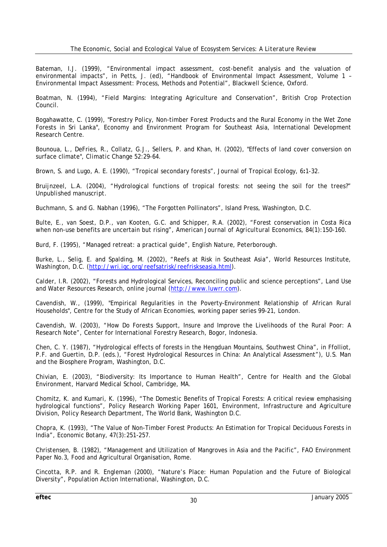Bateman, I.J. (1999), "Environmental impact assessment, cost-benefit analysis and the valuation of environmental impacts", in Petts, J. (ed), "Handbook of Environmental Impact Assessment, Volume 1 – Environmental Impact Assessment: Process, Methods and Potential", Blackwell Science, Oxford.

Boatman, N. (1994), "Field Margins: Integrating Agriculture and Conservation", British Crop Protection Council.

Bogahawatte, C. (1999), "Forestry Policy, Non-timber Forest Products and the Rural Economy in the Wet Zone Forests in Sri Lanka", Economy and Environment Program for Southeast Asia, International Development Research Centre.

Bounoua, L., DeFries, R., Collatz, G.J., Sellers, P. and Khan, H. (2002), "Effects of land cover conversion on surface climate", *Climatic Change* 52:29-64.

Brown, S. and Lugo, A. E. (1990), "Tropical secondary forests", *Journal of Tropical Ecology,* 6**:**1-32.

Bruijnzeel, L.A. (2004), "Hydrological functions of tropical forests: not seeing the soil for the trees?" *Unpublished manuscript*.

Buchmann, S. and G. Nabhan (1996), "The Forgotten Pollinators", Island Press, Washington, D.C.

Bulte, E., van Soest, D.P., van Kooten, G.C. and Schipper, R.A. (2002), "Forest conservation in Costa Rica when non-use benefits are uncertain but rising", *American Journal of Agricultural Economics,* 84(1):150-160.

Burd, F. (1995), "Managed retreat: a practical guide", English Nature, Peterborough.

Burke, L., Selig, E. and Spalding, M. (2002), "Reefs at Risk in Southeast Asia", World Resources Institute, Washington, D.C. (http://wri.igc.org/reefsatrisk/reefriskseasia.html).

Calder, I.R. (2002), "Forests and Hydrological Services, Reconciling public and science perceptions", *Land Use and Water Resources Research,* online journal (http://www.luwrr.com).

Cavendish, W., (1999), "Empirical Regularities in the Poverty-Environment Relationship of African Rural Households", Centre for the Study of African Economies, working paper series 99-21, London.

Cavendish, W. (2003), "How Do Forests Support, Insure and Improve the Livelihoods of the Rural Poor: A Research Note", Center for International Forestry Research, Bogor, Indonesia.

Chen, C. Y. (1987), "Hydrological effects of forests in the Hengduan Mountains, Southwest China", in Ffolliot, P.F. and Guertin, D.P. (eds.), "Forest Hydrological Resources in China: An Analytical Assessment"), U.S. Man and the Biosphere Program, Washington, D.C.

Chivian, E. (2003), "Biodiversity: Its Importance to Human Health", Centre for Health and the Global Environment, Harvard Medical School, Cambridge, MA.

Chomitz, K. and Kumari, K. (1996), "The Domestic Benefits of Tropical Forests: A critical review emphasising hydrological functions", Policy Research Working Paper 1601, Environment, Infrastructure and Agriculture Division, Policy Research Department, The World Bank, Washington D.C.

Chopra, K. (1993), "The Value of Non-Timber Forest Products: An Estimation for Tropical Deciduous Forests in India", *Economic Botany*, 47(3):251-257.

Christensen, B. (1982), "Management and Utilization of Mangroves in Asia and the Pacific", FAO Environment Paper No.3, Food and Agricultural Organisation, Rome.

Cincotta, R.P. and R. Engleman (2000), "Nature's Place: Human Population and the Future of Biological Diversity", Population Action International, Washington, D.C.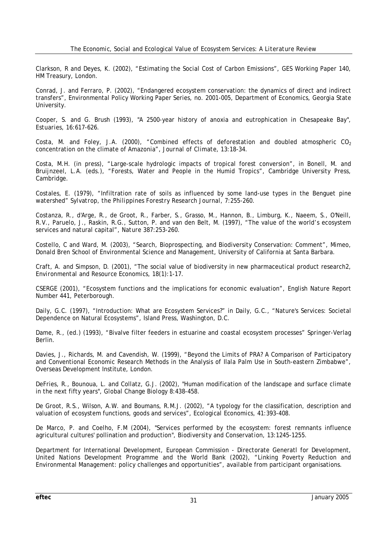Clarkson, R and Deyes, K. (2002), "Estimating the Social Cost of Carbon Emissions", GES Working Paper 140, HM Treasury, London.

Conrad, J. and Ferraro, P. (2002), "Endangered ecosystem conservation: the dynamics of direct and indirect transfers", Environmental Policy Working Paper Series, no. 2001-005, Department of Economics, Georgia State University.

Cooper, S. and G. Brush (1993), "A 2500-year history of anoxia and eutrophication in Chesapeake Bay", *Estuaries,* 16:617-626.

Costa, M. and Foley, J.A. (2000), "Combined effects of deforestation and doubled atmospheric  $CO<sub>2</sub>$ concentration on the climate of Amazonia", *Journal of Climate,* 13:18-34.

Costa, M.H. (in press), "Large-scale hydrologic impacts of tropical forest conversion", in Bonell, M. and Bruijnzeel, L.A. (eds.), "Forests, Water and People in the Humid Tropics", Cambridge University Press, Cambridge.

Costales, E. (1979), "Infiltration rate of soils as influenced by some land-use types in the Benguet pine watershed" *Sylvatrop, the Philippines Forestry Research Journal,* 7:255-260.

Costanza, R., d'Arge, R., de Groot, R., Farber, S., Grasso, M., Hannon, B., Limburg, K., Naeem, S., O'Neill, R.V., Paruelo, J., Raskin, R.G., Sutton, P. and van den Belt, M. (1997), "The value of the world's ecosystem services and natural capital", *Nature* 387:253-260.

Costello, C and Ward, M. (2003), "Search, Bioprospecting, and Biodiversity Conservation: Comment", Mimeo, Donald Bren School of Environmental Science and Management, University of California at Santa Barbara.

Craft, A. and Simpson, D. (2001), "The social value of biodiversity in new pharmaceutical product research2, *Environmental and Resource Economics,* 18(1):1-17.

CSERGE (2001), "Ecosystem functions and the implications for economic evaluation", English Nature Report Number 441, Peterborough.

Daily, G.C. (1997), "Introduction: What are Ecosystem Services?" in Daily, G.C., "Nature's Services: Societal Dependence on Natural Ecosystems", Island Press, Washington, D.C.

Dame, R., (ed.) (1993), "Bivalve filter feeders in estuarine and coastal ecosystem processes" Springer-Verlag Berlin.

Davies, J., Richards, M. and Cavendish, W. (1999), "Beyond the Limits of PRA? A Comparison of Participatory and Conventional Economic Research Methods in the Analysis of Ilala Palm Use in South-eastern Zimbabwe", Overseas Development Institute, London.

DeFries, R., Bounoua, L. and Collatz, G.J. (2002), "Human modification of the landscape and surface climate in the next fifty years", *Global Change Biology* 8:438-458.

De Groot, R.S., Wilson, A.W. and Boumans, R.M.J. (2002), "A typology for the classification, description and valuation of ecosystem functions, goods and services", *Ecological Economics,* 41:393-408.

De Marco, P. and Coelho, F.M (2004), "Services performed by the ecosystem: forest remnants influence agricultural cultures' pollination and production", *Biodiversity and Conservation*, 13:1245-1255.

Department for International Development, European Commission - Directorate Generatl for Development, United Nations Development Programme and the World Bank (2002), "Linking Poverty Reduction and Environmental Management: policy challenges and opportunities", available from participant organisations.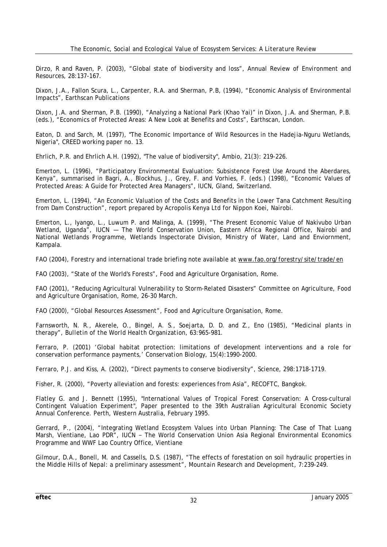Dirzo, R and Raven, P. (2003), "Global state of biodiversity and loss", *Annual Review of Environment and Resources*, 28:137-167.

Dixon, J.A., Fallon Scura, L., Carpenter, R.A. and Sherman, P.B, (1994), "Economic Analysis of Environmental Impacts", Earthscan Publications

Dixon, J.A. and Sherman, P.B. (1990), "Analyzing a National Park (Khao Yai)" in Dixon, J.A. and Sherman, P.B. (eds.), "Economics of Protected Areas: A New Look at Benefits and Costs", Earthscan, London.

Eaton, D. and Sarch, M. (1997), "The Economic Importance of Wild Resources in the Hadejia-Nguru Wetlands, Nigeria", CREED working paper no. 13.

Ehrlich, P.R. and Ehrlich A.H. (1992), "The value of biodiversity", *Ambio*, 21(3): 219-226.

Emerton, L. (1996), "Participatory Environmental Evaluation: Subsistence Forest Use Around the Aberdares, Kenya", summarised in Bagri, A., Blockhus, J., Grey, F. and Vorhies, F. (eds.) (1998), "Economic Values of Protected Areas: A Guide for Protected Area Managers", IUCN, Gland, Switzerland.

Emerton, L. (1994), "An Economic Valuation of the Costs and Benefits in the Lower Tana Catchment Resulting from Dam Construction", report prepared by Acropolis Kenya Ltd for Nippon Koei, Nairobi.

Emerton, L., Iyango, L., Luwum P. and Malinga, A. (1999), "The Present Economic Value of Nakivubo Urban Wetland, Uganda", IUCN - The World Conservation Union, Eastern Africa Regional Office, Nairobi and National Wetlands Programme, Wetlands Inspectorate Division, Ministry of Water, Land and Enviornment, Kampala.

FAO (2004), Forestry and international trade briefing note available at www.fao.org/forestry/site/trade/en

FAO (2003), "State of the World's Forests", Food and Agriculture Organisation, Rome.

FAO (2001), "Reducing Agricultural Vulnerability to Storm-Related Disasters" Committee on Agriculture, Food and Agriculture Organisation, Rome, 26-30 March.

FAO (2000), "Global Resources Assessment", Food and Agriculture Organisation, Rome.

Farnsworth, N. R., Akerele, O., Bingel, A. S., Soejarta, D. D. and Z., Eno (1985), "Medicinal plants in therapy", *Bulletin of the World Health Organization,* 63:965-981.

Ferraro, P. (2001) 'Global habitat protection: limitations of development interventions and a role for conservation performance payments,' *Conservation Biology*, 15(4):1990-2000.

Ferraro, P.J. and Kiss, A. (2002), "Direct payments to conserve biodiversity", *Science,* 298:1718-1719.

Fisher, R. (2000), "Poverty alleviation and forests: experiences from Asia", RECOFTC, Bangkok.

Flatley G. and J. Bennett (1995), "International Values of Tropical Forest Conservation: A Cross-cultural Contingent Valuation Experiment", Paper presented to the 39th Australian Agricultural Economic Society Annual Conference. Perth, Western Australia, February 1995.

Gerrard, P., (2004), "Integrating Wetland Ecosystem Values into Urban Planning: The Case of That Luang Marsh, Vientiane, Lao PDR", IUCN − The World Conservation Union Asia Regional Environmental Economics Programme and WWF Lao Country Office, Vientiane

Gilmour, D.A., Bonell, M. and Cassells, D.S. (1987), "The effects of forestation on soil hydraulic properties in the Middle Hills of Nepal: a preliminary assessment", *Mountain Research and Development,* 7:239-249.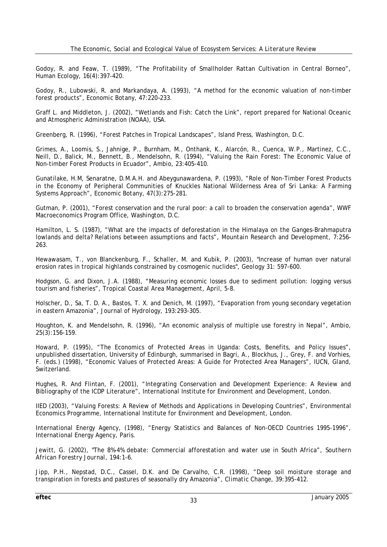Godoy, R. and Feaw, T. (1989), "The Profitability of Smallholder Rattan Cultivation in Central Borneo", *Human Ecology,* 16(4):397-420.

Godoy, R., Lubowski, R. and Markandaya, A. (1993), "A method for the economic valuation of non-timber forest products", *Economic Botany,* 47:220–233.

Graff L. and Middleton, J. (2002), "Wetlands and Fish: Catch the Link", report prepared for National Oceanic and Atmospheric Administration (NOAA), USA.

Greenberg, R. (1996), "Forest Patches in Tropical Landscapes", Island Press, Washington, D.C.

Grimes, A., Loomis, S., Jahnige, P., Burnham, M., Onthank, K., Alarcón, R., Cuenca, W.P., Martinez, C.C., Neill, D., Balick, M., Bennett, B., Mendelsohn, R. (1994), "Valuing the Rain Forest: The Economic Value of Non-timber Forest Products in Ecuador", *Ambio,* 23:405-410.

Gunatilake, H.M, Senaratne, D.M.A.H. and Abeygunawardena, P. (1993), "Role of Non-Timber Forest Products in the Economy of Peripheral Communities of Knuckles National Wilderness Area of Sri Lanka: A Farming Systems Approach", *Economic Botany,* 47(3):275-281.

Gutman, P. (2001), "Forest conservation and the rural poor: a call to broaden the conservation agenda", WWF Macroeconomics Program Office, Washington, D.C.

Hamilton, L. S. (1987), "What are the impacts of deforestation in the Himalaya on the Ganges-Brahmaputra lowlands and delta? Relations between assumptions and facts", *Mountain Research and Development,* 7:256- 263.

Hewawasam, T., von Blanckenburg, F., Schaller, M. and Kubik, P. (2003), "Increase of human over natural erosion rates in tropical highlands constrained by cosmogenic nuclides", *Geology* 31: 597-600.

Hodgson, G. and Dixon, J.A. (1988), "Measuring economic losses due to sediment pollution: logging versus tourism and fisheries", *Tropical Coastal Area Management*, April, 5-8.

Holscher, D., Sa, T. D. A., Bastos, T. X. and Denich, M. (1997), "Evaporation from young secondary vegetation in eastern Amazonia", *Journal of Hydrology,* 193:293-305.

Houghton, K. and Mendelsohn, R. (1996), "An economic analysis of multiple use forestry in Nepal", *Ambio*, 25(3):156-159.

Howard, P. (1995), "The Economics of Protected Areas in Uganda: Costs, Benefits, and Policy Issues", unpublished dissertation, University of Edinburgh, summarised in Bagri, A., Blockhus, J., Grey, F. and Vorhies, F. (eds.) (1998), "Economic Values of Protected Areas: A Guide for Protected Area Managers", IUCN, Gland, Switzerland.

Hughes, R. And Flintan, F. (2001), "Integrating Conservation and Development Experience: A Review and Bibliography of the ICDP Literature", International Institute for Environment and Development, London.

IIED (2003), "Valuing Forests: A Review of Methods and Applications in Developing Countries", Environmental Economics Programme, International Institute for Environment and Development, London.

International Energy Agency, (1998), "Energy Statistics and Balances of Non-OECD Countries 1995-1996", International Energy Agency, Paris.

Jewitt, G. (2002), "The 8%-4% debate: Commercial afforestation and water use in South Africa", *Southern African Forestry Journal,* 194:1-6.

Jipp, P.H., Nepstad, D.C., Cassel, D.K. and De Carvalho, C.R. (1998), "Deep soil moisture storage and transpiration in forests and pastures of seasonally dry Amazonia", *Climatic Change,* 39:395-412.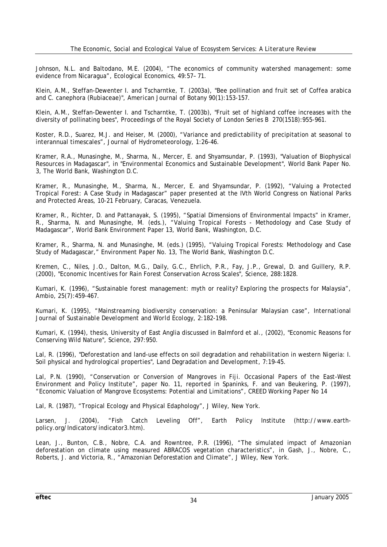Johnson, N.L. and Baltodano, M.E. (2004), "The economics of community watershed management: some evidence from Nicaragua", *Ecological Economics,* 49:57– 71.

Klein, A.M., Steffan-Dewenter I. and Tscharntke, T. (2003a), "Bee pollination and fruit set of Coffea arabica and C. canephora (Rubiaceae)", *American Journal of Botany* 90(1):153-157.

Klein, A.M., Steffan-Dewenter I. and Tscharntke, T. (2003b), "Fruit set of highland coffee increases with the diversity of pollinating bees", *Proceedings of the Royal Society of London Series B* 270(1518):955-961.

Koster, R.D., Suarez, M.J. and Heiser, M. (2000), "Variance and predictability of precipitation at seasonal to interannual timescales", *Journal of Hydrometeorology,* 1:26-46.

Kramer, R.A., Munasinghe, M., Sharma, N., Mercer, E. and Shyamsundar, P. (1993), "Valuation of Biophysical Resources in Madagascar", in "Environmental Economics and Sustainable Development", World Bank Paper No. 3, The World Bank, Washington D.C.

Kramer, R., Munasinghe, M., Sharma, N., Mercer, E. and Shyamsundar, P. (1992), "Valuing a Protected Tropical Forest: A Case Study in Madagascar" paper presented at the IVth World Congress on National Parks and Protected Areas, 10-21 February, Caracas, Venezuela.

Kramer, R., Richter, D. and Pattanayak, S. (1995), "Spatial Dimensions of Environmental Impacts" in Kramer, R., Sharma, N. and Munasinghe, M. (eds.), "Valuing Tropical Forests - Methodology and Case Study of Madagascar", World Bank Environment Paper 13, World Bank, Washington, D.C.

Kramer, R., Sharma, N. and Munasinghe, M. (eds.) (1995), "Valuing Tropical Forests: Methodology and Case Study of Madagascar," Environment Paper No. 13, The World Bank, Washington D.C.

Kremen, C., Niles, J.O., Dalton, M.G., Daily, G.C., Ehrlich, P.R., Fay, J.P., Grewal, D. and Guillery, R.P. (2000), "Economic Incentives for Rain Forest Conservation Across Scales", *Science,* 288:1828.

Kumari, K. (1996), "Sustainable forest management: myth or reality? Exploring the prospects for Malaysia", *Ambio,* 25(7):459-467.

Kumari, K. (1995), "Mainstreaming biodiversity conservation: a Peninsular Malaysian case", *International Journal of Sustainable Development and World Ecology,* 2:182-198.

Kumari, K. (1994), thesis, University of East Anglia discussed in Balmford et al., (2002), "Economic Reasons for Conserving Wild Nature", *Science,* 297:950.

Lal, R. (1996), "Deforestation and land-use effects on soil degradation and rehabilitation in western Nigeria: I. Soil physical and hydrological properties", *Land Degradation and Development*, 7:19-45.

Lal, P.N. (1990), "Conservation or Conversion of Mangroves in Fiji. Occasional Papers of the East-West Environment and Policy Institute", paper No. 11, reported in Spaninks, F. and van Beukering, P. (1997), "Economic Valuation of Mangrove Ecosystems: Potential and Limitations", CREED Working Paper No 14

Lal, R. (1987), "Tropical Ecology and Physical Edaphology", J Wiley, New York.

Larsen, J. (2004), "Fish Catch Leveling Off", Earth Policy Institute (http://www.earthpolicy.org/Indicators/indicator3.htm).

Lean, J., Bunton, C.B., Nobre, C.A. and Rowntree, P.R. (1996), "The simulated impact of Amazonian deforestation on climate using measured ABRACOS vegetation characteristics", in Gash, J., Nobre, C., Roberts, J. and Victoria, R., "Amazonian Deforestation and Climate", J Wiley, New York.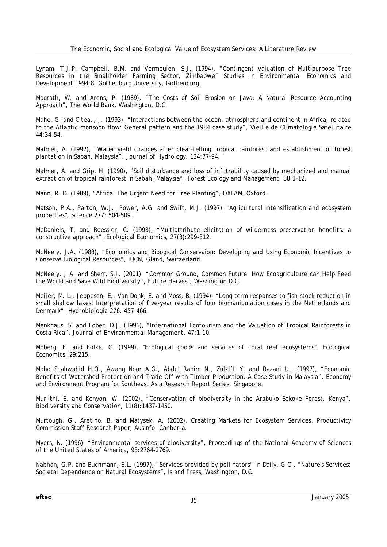Lynam, T.J.P, Campbell, B.M. and Vermeulen, S.J. (1994), "Contingent Valuation of Multipurpose Tree Resources in the Smallholder Farming Sector, Zimbabwe" *Studies in Environmental Economics and Development* 1994:8, Gothenburg University, Gothenburg.

Magrath, W. and Arens, P. (1989), "The Costs of Soil Erosion on Java: A Natural Resource Accounting Approach", The World Bank, Washington, D.C.

Mahé, G. and Citeau, J. (1993), "Interactions between the ocean, atmosphere and continent in Africa, related to the Atlantic monsoon flow: General pattern and the 1984 case study", *Vieille de Climatologie Satellitaire* 44:34-54.

Malmer, A. (1992), "Water yield changes after clear-felling tropical rainforest and establishment of forest plantation in Sabah, Malaysia", *Journal of Hydrology,* 134:77-94.

Malmer, A. and Grip, H. (1990), "Soil disturbance and loss of infiltrability caused by mechanized and manual extraction of tropical rainforest in Sabah, Malaysia", *Forest Ecology and Management,* 38:1–12.

Mann, R. D. (1989), "Africa: The Urgent Need for Tree Planting", OXFAM, Oxford.

Matson, P.A., Parton, W.J., Power, A.G. and Swift, M.J. (1997), "Agricultural intensification and ecosystem properties", *Science* 277: 504-509.

McDaniels, T. and Roessler, C. (1998), "Multiattribute elicitation of wilderness preservation benefits: a constructive approach", *Ecological Economics,* 27(3):299-312.

McNeely, J.A. (1988), "Economics and Bioogical Conservaion: Developing and Using Economic Incentives to Conserve Biological Resources", IUCN, Gland, Switzerland.

McNeely, J.A. and Sherr, S.J. (2001), "Common Ground, Common Future: How Ecoagriculture can Help Feed the World and Save Wild Biodiversity"*,* Future Harvest, Washington D.C.

Meijer, M. L., Jeppesen, E., Van Donk, E. and Moss, B. (1994), "Long-term responses to fish-stock reduction in small shallow lakes: Interpretation of five-year results of four biomanipulation cases in the Netherlands and Denmark", *Hydrobiologia* 276: 457-466.

Menkhaus, S. and Lober, D.J. (1996), "International Ecotourism and the Valuation of Tropical Rainforests in Costa Rica", *Journal of Environmental Management,* 47:1-10.

Moberg, F. and Folke, C. (1999), "Ecological goods and services of coral reef ecosystems", *Ecological Economics,* 29:215.

Mohd Shahwahid H.O., Awang Noor A.G., Abdul Rahim N., Zulkifli Y. and Razani U., (1997), "Economic Benefits of Watershed Protection and Trade-Off with Timber Production: A Case Study in Malaysia", Economy and Environment Program for Southeast Asia Research Report Series, Singapore.

Muriithi, S. and Kenyon, W. (2002), "Conservation of biodiversity in the Arabuko Sokoke Forest, Kenya", *Biodiversity and Conservation,* 11(8):1437-1450.

Murtough, G., Aretino, B. and Matysek, A. (2002), Creating Markets for Ecosystem Services, Productivity Commission Staff Research Paper, AusInfo, Canberra.

Myers, N. (1996), "Environmental services of biodiversity", *Proceedings of the National Academy of Sciences of the United States of America,* 93:2764-2769.

Nabhan, G.P. and Buchmann, S.L. (1997), "Services provided by pollinators" in Daily, G.C., "Nature's Services: Societal Dependence on Natural Ecosystems", Island Press, Washington, D.C.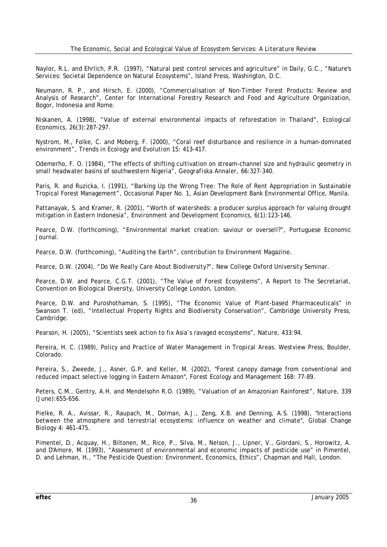Naylor, R.L. and Ehrlich, P.R. (1997), "Natural pest control services and agriculture" in Daily, G.C., "Nature's Services: Societal Dependence on Natural Ecosystems", Island Press, Washington, D.C.

Neumann, R. P., and Hirsch, E. (2000), "Commercialisation of Non-Timber Forest Products: Review and Analysis of Research", Center for International Forestry Research and Food and Agriculture Organization, Bogor, Indonesia and Rome.

Niskanen, A. (1998), "Value of external environmental impacts of reforestation in Thailand", *Ecological Economics,* 26(3):287-297.

Nystrom, M., Folke, C. and Moberg, F. (2000), "Coral reef disturbance and resilience in a human-dominated environment", *Trends in Ecology and Evolution* 15: 413-417.

Odemerho, F. O. (1984), "The effects of shifting cultivation on stream-channel size and hydraulic geometry in small headwater basins of southwestern Nigeria", *Geografiska Annaler,* 66:327-340.

Paris, R. and Ruzicka, I. (1991), "Barking Up the Wrong Tree: The Role of Rent Appropriation in Sustainable Tropical Forest Management", Occasional Paper No. 1, Asian Development Bank Environmental Office, Manila.

Pattanayak, S. and Kramer, R. (2001), "Worth of watersheds: a producer surplus approach for valuing drought mitigation in Eastern Indonesia*", Environment and Development Economics,* 6(1):123-146.

Pearce, D.W. (forthcoming), "Environmental market creation: saviour or oversell?", Portuguese Economic Journal.

Pearce, D.W. (forthcoming), "Auditing the Earth", contribution to *Environment* Magazine.

Pearce, D.W. (2004), "Do We Really Care About Biodiversity*?",* New College Oxford University Seminar.

Pearce, D.W. and Pearce, C.G.T. (2001), "The Value of Forest Ecosystems", A Report to The Secretariat, Convention on Biological Diversity, University College London, London.

Pearce, D.W. and Puroshothaman, S. (1995), "The Economic Value of Plant-based Pharmaceuticals" in Swanson T. (ed), "Intellectual Property Rights and Biodiversity Conservation", Cambridge University Press, Cambridge.

Pearson, H. (2005), "Scientists seek action to fix Asia's ravaged ecosystems", *Nature*, 433:94.

Pereira, H. C. (1989), *Policy and Practice of Water Management in Tropical Areas*. Westview Press, Boulder, Colorado.

Pereira, S., Zweede, J., Asner, G.P. and Keller, M. (2002), "Forest canopy damage from conventional and reduced impact selective logging in Eastern Amazon", *Forest Ecology and Management* 168: 77-89.

Peters, C.M., Gentry, A.H. and Mendelsohn R.O. (1989), "Valuation of an Amazonian Rainforest", *Nature,* 339 (June):655-656.

Pielke, R. A., Avissar, R., Raupach, M., Dolman, A.J., Zeng, X.B. and Denning, A.S. (1998), "Interactions between the atmosphere and terrestrial ecosystems: influence on weather and climate", *Global Change Biology* 4: 461-475.

Pimentel, D., Acquay, H., Biltonen, M., Rice, P., Silva, M., Nelson, J., Lipner, V., Giordani, S., Horowitz, A. and D'Amore, M. (1993), "Assessment of environmental and economic impacts of pesticide use" in Pimentel, D. and Lehman, H., "The Pesticide Question: Environment, Economics, Ethics", Chapman and Hall, London.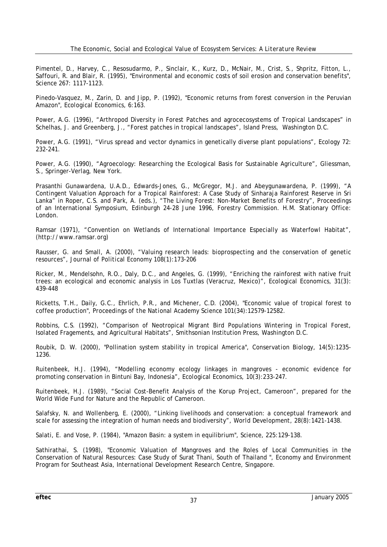Pimentel, D., Harvey, C., Resosudarmo, P., Sinclair, K., Kurz, D., McNair, M., Crist, S., Shpritz, Fitton, L., Saffouri, R. and Blair, R. (1995), "Environmental and economic costs of soil erosion and conservation benefits", *Science* 267: 1117-1123.

Pinedo-Vasquez, M., Zarin, D. and Jipp, P. (1992), "Economic returns from forest conversion in the Peruvian Amazon", *Ecological Economics,* 6:163.

Power, A.G. (1996), "Arthropod Diversity in Forest Patches and agrocecosystems of Tropical Landscapes" in Schelhas, J. and Greenberg, J., "Forest patches in tropical landscapes", Island Press, Washington D.C.

Power, A.G. (1991), "Virus spread and vector dynamics in genetically diverse plant populations", *Ecology* 72: 232-241.

Power, A.G. (1990), "Agroecology: Researching the Ecological Basis for Sustainable Agriculture", Gliessman, S., Springer-Verlag, New York.

Prasanthi Gunawardena, U.A.D., Edwards-Jones, G., McGregor, M.J. and Abeygunawardena, P. (1999), "A Contingent Valuation Approach for a Tropical Rainforest: A Case Study of Sinharaja Rainforest Reserve in Sri Lanka" in Roper, C.S. and Park, A. (eds.), "The Living Forest: Non-Market Benefits of Forestry", Proceedings of an International Symposium, Edinburgh 24-28 June 1996, Forestry Commission. H.M. Stationary Office: London.

Ramsar (1971), "Convention on Wetlands of International Importance Especially as Waterfowl Habitat", (http://www.ramsar.org)

Rausser, G. and Small, A. (2000), "Valuing research leads: bioprospecting and the conservation of genetic resources", *Journal of Political Economy* 108(1):173-206

Ricker, M., Mendelsohn, R.O., Daly, D.C., and Angeles, G. (1999), "Enriching the rainforest with native fruit trees: an ecological and economic analysis in Los Tuxtlas (Veracruz, Mexico)", *Ecological Economics,* 31(3): 439-448

Ricketts, T.H., Daily, G.C., Ehrlich, P.R., and Michener, C.D. (2004), "Economic value of tropical forest to coffee production", *Proceedings of the National Academy Science* 101(34):12579-12582.

Robbins, C.S. (1992), "Comparison of Neotropical Migrant Bird Populations Wintering in Tropical Forest, Isolated Fragements, and Agricultural Habitats", Smithsonian Institution Press, Washington D.C.

Roubik, D. W. (2000), "Pollination system stability in tropical America", *Conservation Biology,* 14(5):1235- 1236.

Ruitenbeek, H.J. (1994), "Modelling economy ecology linkages in mangroves - economic evidence for promoting conservation in Bintuni Bay, Indonesia", *Ecological Economics,* 10(3):233-247.

Ruitenbeek, H.J. (1989), "Social Cost-Benefit Analysis of the Korup Project, Cameroon", prepared for the World Wide Fund for Nature and the Republic of Cameroon.

Salafsky, N. and Wollenberg, E. (2000), "Linking livelihoods and conservation: a conceptual framework and scale for assessing the integration of human needs and biodiversity", *World Development,* 28(8):1421-1438.

Salati, E. and Vose, P. (1984), "Amazon Basin: a system in equilibrium", *Science,* 225:129-138.

Sathirathai, S. (1998), "Economic Valuation of Mangroves and the Roles of Local Communities in the Conservation of Natural Resources: Case Study of Surat Thani, South of Thailand ", Economy and Environment Program for Southeast Asia, International Development Research Centre, Singapore.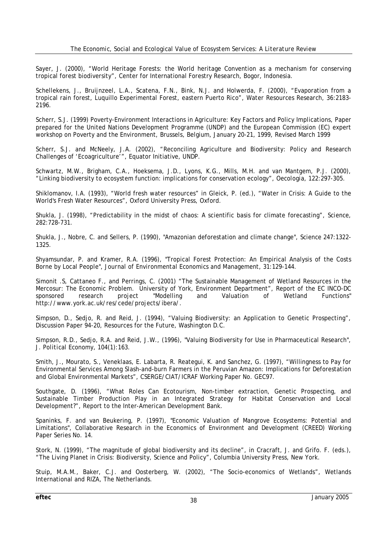Sayer, J. (2000), "World Heritage Forests: the World heritage Convention as a mechanism for conserving tropical forest biodiversity", Center for International Forestry Research, Bogor, Indonesia.

Schellekens, J., Bruijnzeel, L.A., Scatena, F.N., Bink, N.J. and Holwerda, F. (2000), "Evaporation from a tropical rain forest, Luquillo Experimental Forest, eastern Puerto Rico", *Water Resources Research,* 36:2183- 2196.

Scherr, S.J. (1999) Poverty-Environment Interactions in Agriculture: Key Factors and Policy Implications, Paper prepared for the United Nations Development Programme (UNDP) and the European Commission (EC) expert workshop on Poverty and the Environment, Brussels, Belgium, January 20-21, 1999, Revised March 1999

Scherr, S.J. and McNeely, J.A. (2002), "Reconciling Agriculture and Biodiversity: Policy and Research Challenges of 'Ecoagriculture'", Equator Initiative, UNDP.

Schwartz, M.W., Brigham, C.A., Hoeksema, J.D., Lyons, K.G., Mills, M.H. and van Mantgem, P.J. (2000), "Linking biodiversity to ecosystem function: implications for conservation ecology", *Oecologia*, 122:297-305.

Shiklomanov, I.A. (1993), "World fresh water resources" in Gleick, P. (ed.), "Water in Crisis: A Guide to the World's Fresh Water Resources", Oxford University Press, Oxford.

Shukla, J. (1998), "Predictability in the midst of chaos: A scientific basis for climate forecasting", *Science,* 282:728-731.

Shukla, J., Nobre, C. and Sellers, P. (1990), "Amazonian deforestation and climate change", *Science* 247:1322- 1325.

Shyamsundar, P. and Kramer, R.A. (1996), "Tropical Forest Protection: An Empirical Analysis of the Costs Borne by Local People", *Journal of Environmental Economics and Management,* 31:129-144.

Simonit .S, Cattaneo F., and Perrings, C. (2001) "The Sustainable Management of Wetland Resources in the Mercosur: The Economic Problem. University of York, Environment Department", Report of the EC INCO-DC<br>sponsored research project "Modelling and Valuation of Wetland Functions" sponsored research project "Modelling and Valuation of Wetland Functions" http://www.york.ac.uk/res/cede/projects/ibera/.

Simpson, D., Sedjo, R. and Reid, J. (1994), "Valuing Biodiversity: an Application to Genetic Prospecting", Discussion Paper 94-20, Resources for the Future, Washington D.C.

Simpson, R.D., Sedjo, R.A. and Reid, J.W., (1996), "Valuing Biodiversity for Use in Pharmaceutical Research", *J. Political Economy,* 104(1):163.

Smith, J., Mourato, S., Veneklaas, E. Labarta, R. Reategui, K. and Sanchez, G. (1997), "Willingness to Pay for Environmental Services Among Slash-and-burn Farmers in the Peruvian Amazon: Implications for Deforestation and Global Environmental Markets", CSERGE/CIAT/ICRAF Working Paper No. GEC97.

Southgate, D. (1996), "What Roles Can Ecotourism, Non-timber extraction, Genetic Prospecting, and Sustainable Timber Production Play in an Integrated Strategy for Habitat Conservation and Local Development?", Report to the Inter-American Development Bank.

Spaninks, F. and van Beukering, P. (1997), "Economic Valuation of Mangrove Ecosystems: Potential and Limitations", Collaborative Research in the Economics of Environment and Development (CREED) Working Paper Series No. 14.

Stork, N. (1999), "The magnitude of global biodiversity and its decline", in Cracraft, J. and Grifo. F. (eds.), "The Living Planet in Crisis: Biodiversity, Science and Policy", Columbia University Press, New York.

Stuip, M.A.M., Baker, C.J. and Oosterberg, W. (2002), "The Socio-economics of Wetlands", Wetlands International and RIZA, The Netherlands.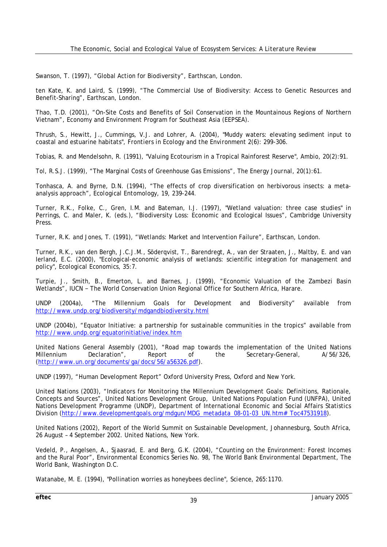Swanson, T. (1997), "Global Action for Biodiversity", Earthscan, London.

ten Kate, K. and Laird, S. (1999), "The Commercial Use of Biodiversity: Access to Genetic Resources and Benefit-Sharing", Earthscan, London.

Thao, T.D. (2001), "On-Site Costs and Benefits of Soil Conservation in the Mountainous Regions of Northern Vietnam", Economy and Environment Program for Southeast Asia (EEPSEA).

Thrush, S., Hewitt, J., Cummings, V.J. and Lohrer, A. (2004), "Muddy waters: elevating sediment input to coastal and estuarine habitats", *Frontiers in Ecology and the Environment* 2(6): 299-306.

Tobias, R. and Mendelsohn, R. (1991), "Valuing Ecotourism in a Tropical Rainforest Reserve", *Ambio*, 20(2):91.

Tol, R.S.J. (1999), "The Marginal Costs of Greenhouse Gas Emissions", *The Energy Journal,* 20(1):61.

Tonhasca, A. and Byrne, D.N. (1994), "The effects of crop diversification on herbivorous insects: a metaanalysis approach", *Ecological Entomology*, 19, 239-244.

Turner, R.K., Folke, C., Gren, I.M. and Bateman, I.J. (1997), "Wetland valuation: three case studies" in Perrings, C. and Maler, K. (eds.), "Biodiversity Loss: Economic and Ecological Issues", Cambridge University Press.

Turner, R.K. and Jones, T. (1991), "Wetlands: Market and Intervention Failure", Earthscan, London.

Turner, R.K., van den Bergh, J.C.J.M., Söderqvist, T., Barendregt, A., van der Straaten, J., Maltby, E. and van Ierland, E.C. (2000), "Ecological-economic analysis of wetlands: scientific integration for management and policy", *Ecological Economics,* 35:7.

Turpie, J., Smith, B., Emerton, L. and Barnes, J. (1999), "Economic Valuation of the Zambezi Basin Wetlands", IUCN - The World Conservation Union Regional Office for Southern Africa, Harare.

UNDP (2004a), "The Millennium Goals for Development and Biodiversity" available from http://www.undp.org/biodiversity/mdgandbiodiversity.html

UNDP (2004b), "Equator Initiative: a partnership for sustainable communities in the tropics" available from http://www.undp.org/equatorinitiative/index.htm

United Nations General Assembly (2001), "Road map towards the implementation of the United Nations Millennium Declaration", Report of the Secretary-General, A/56/326, (http://www.un.org/documents/ga/docs/56/a56326.pdf).

UNDP (1997), "Human Development Report" Oxford University Press, Oxford and New York.

United Nations (2003), "Indicators for Monitoring the Millennium Development Goals: Definitions, Rationale, Concepts and Sources", United Nations Development Group, United Nations Population Fund (UNFPA), United Nations Development Programme (UNDP), Department of International Economic and Social Affairs Statistics Division (http://www.developmentgoals.org/mdgun/MDG\_metadata\_08-01-03\_UN.htm#\_Toc47531918).

United Nations (2002), Report of the World Summit on Sustainable Development, Johannesburg, South Africa, 26 August – 4 September 2002. United Nations, New York.

Vedeld, P., Angelsen, A., Sjaasrad, E. and Berg, G.K. (2004), "Counting on the Environment: Forest Incomes and the Rural Poor", Environmental Economics Series No. 98, The World Bank Environmental Department, The World Bank, Washington D.C.

Watanabe, M. E. (1994), "Pollination worries as honeybees decline", *Science,* 265:1170.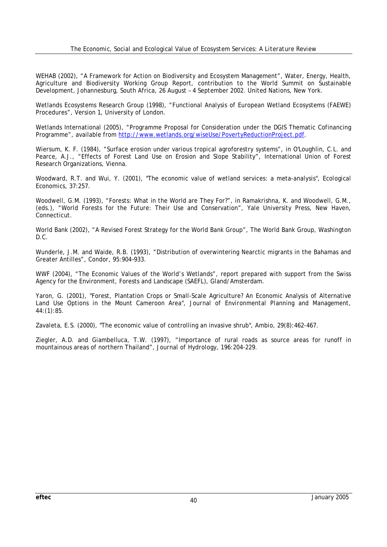WEHAB (2002), "A Framework for Action on Biodiversity and Ecosystem Management", Water, Energy, Health, Agriculture and Biodiversity Working Group Report, contribution to the World Summit on Sustainable Development, Johannesburg, South Africa, 26 August – 4 September 2002. United Nations, New York.

Wetlands Ecosystems Research Group (1998), "Functional Analysis of European Wetland Ecosystems (FAEWE) Procedures", Version 1, University of London.

Wetlands International (2005), "Programme Proposal for Consideration under the DGIS Thematic Cofinancing Programme", available from http://www.wetlands.org/wiseUse/PovertyReductionProject.pdf.

Wiersum, K. F. (1984), "Surface erosion under various tropical agroforestry systems", in O'Loughlin, C.L. and Pearce, A.J., *"*Effects of Forest Land Use on Erosion and Slope Stability", International Union of Forest Research Organizations, Vienna.

Woodward, R.T. and Wui, Y. (2001), "The economic value of wetland services: a meta-analysis", *Ecological Economics,* 37:257.

Woodwell, G.M. (1993), "Forests: What in the World are They For?", in Ramakrishna, K. and Woodwell, G.M., (eds.), *"*World Forests for the Future: Their Use and Conservation*"*, Yale University Press, New Haven, Connecticut.

World Bank (2002), "A Revised Forest Strategy for the World Bank Group", The World Bank Group, Washington D.C.

Wunderle, J.M. and Waide, R.B. (1993), "Distribution of overwintering Nearctic migrants in the Bahamas and Greater Antilles", *Condor,* 95:904–933.

WWF (2004), "The Economic Values of the World's Wetlands", report prepared with support from the Swiss Agency for the Environment, Forests and Landscape (SAEFL), Gland/Amsterdam.

Yaron, G. (2001), "Forest, Plantation Crops or Small-Scale Agriculture? An Economic Analysis of Alternative Land Use Options in the Mount Cameroon Area", *Journal of Environmental Planning and Management,* 44:(1):85.

Zavaleta, E.S. (2000), "The economic value of controlling an invasive shrub", *Ambio*, 29(8):462-467.

Ziegler, A.D. and Giambelluca, T.W. (1997), "Importance of rural roads as source areas for runoff in mountainous areas of northern Thailand", *Journal of Hydrology,* 196:204-229.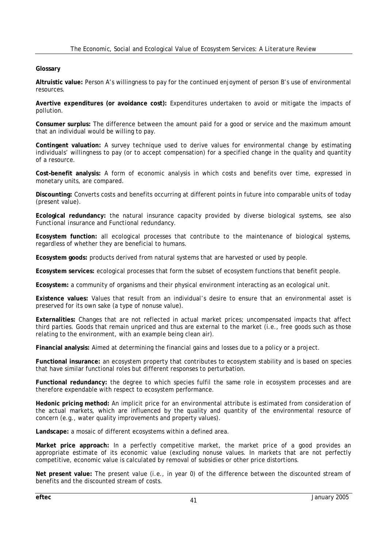#### **Glossary**

**Altruistic value:** Person A's willingness to pay for the continued enjoyment of person B's use of environmental resources.

**Avertive expenditures (or avoidance cost):** Expenditures undertaken to avoid or mitigate the impacts of pollution.

**Consumer surplus:** The difference between the amount paid for a good or service and the maximum amount that an individual would be willing to pay.

**Contingent valuation:** A survey technique used to derive values for environmental change by estimating individuals' willingness to pay (or to accept compensation) for a specified change in the quality and quantity of a resource.

**Cost–benefit analysis:** A form of economic analysis in which costs and benefits over time, expressed in monetary units, are compared.

**Discounting:** Converts costs and benefits occurring at different points in future into comparable units of today (present value).

**Ecological redundancy:** the natural insurance capacity provided by diverse biological systems, see also *Functional insurance* and *Functional redundancy*.

**Ecosystem function:** all ecological processes that contribute to the maintenance of biological systems, regardless of whether they are beneficial to humans.

**Ecosystem goods:** products derived from natural systems that are harvested or used by people.

**Ecosystem services:** ecological processes that form the subset of ecosystem functions that benefit people.

**Ecosystem:** a community of organisms and their physical environment interacting as an ecological unit.

**Existence values:** Values that result from an individual's desire to ensure that an environmental asset is preserved for its own sake (a type of nonuse value).

**Externalities:** Changes that are not reflected in actual market prices; uncompensated impacts that affect third parties. Goods that remain unpriced and thus are external to the market (i.e., free goods such as those relating to the environment, with an example being clean air).

**Financial analysis:** Aimed at determining the financial gains and losses due to a policy or a project.

**Functional insurance:** an ecosystem property that contributes to ecosystem stability and is based on species that have similar functional roles but different responses to perturbation.

**Functional redundancy:** the degree to which species fulfil the same role in ecosystem processes and are therefore expendable with respect to ecosystem performance.

**Hedonic pricing method:** An implicit price for an environmental attribute is estimated from consideration of the actual markets, which are influenced by the quality and quantity of the environmental resource of concern (e.g., water quality improvements and property values).

**Landscape:** a mosaic of different ecosystems within a defined area.

**Market price approach:** In a perfectly competitive market, the market price of a good provides an appropriate estimate of its economic value (excluding nonuse values. In markets that are not perfectly competitive, economic value is calculated by removal of subsidies or other price distortions.

**Net present value:** The present value (i.e., in year 0) of the difference between the discounted stream of benefits and the discounted stream of costs.